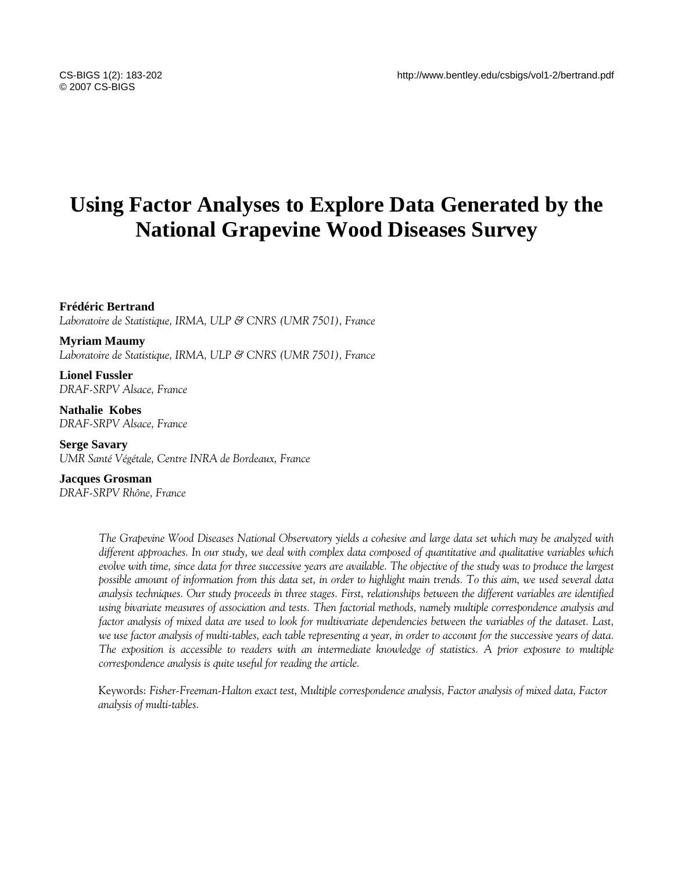# **Using Factor Analyses to Explore Data Generated by the National Grapevine Wood Diseases Survey**

**Frédéric Bertrand** 

*Laboratoire de Statistique, IRMA, ULP & CNRS (UMR 7501), France* 

**Myriam Maumy**  *Laboratoire de Statistique, IRMA, ULP & CNRS (UMR 7501), France* 

**Lionel Fussler**  *DRAF-SRPV Alsace, France* 

**Nathalie Kobes**  *DRAF-SRPV Alsace, France* 

**Serge Savary**  *UMR Santé Végétale, Centre INRA de Bordeaux, France*

**Jacques Grosman**  *DRAF-SRPV Rhône, France*

> *The Grapevine Wood Diseases National Observatory yields a cohesive and large data set which may be analyzed with different approaches. In our study, we deal with complex data composed of quantitative and qualitative variables which evolve with time, since data for three successive years are available. The objective of the study was to produce the largest possible amount of information from this data set, in order to highlight main trends. To this aim, we used several data analysis techniques. Our study proceeds in three stages. First, relationships between the different variables are identified using bivariate measures of association and tests. Then factorial methods, namely multiple correspondence analysis and factor analysis of mixed data are used to look for multivariate dependencies between the variables of the dataset. Last, we use factor analysis of multi-tables, each table representing a year, in order to account for the successive years of data. The exposition is accessible to readers with an intermediate knowledge of statistics. A prior exposure to multiple correspondence analysis is quite useful for reading the article.*

Keywords: *Fisher-Freeman-Halton exact test, Multiple correspondence analysis, Factor analysis of mixed data, Factor analysis of multi-tables.*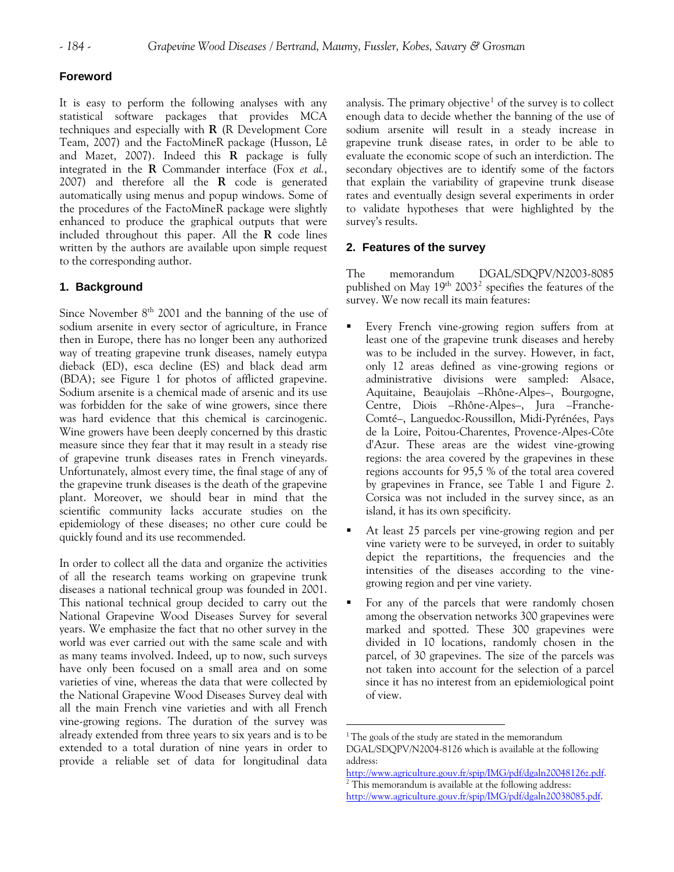# **Foreword**

It is easy to perform the following analyses with any statistical software packages that provides MCA techniques and especially with **R** (R Development Core Team, 2007) and the FactoMineR package (Husson, Lê and Mazet, 2007). Indeed this **R** package is fully integrated in the **R** Commander interface (Fox *et al.*, 2007) and therefore all the **R** code is generated automatically using menus and popup windows. Some of the procedures of the FactoMineR package were slightly enhanced to produce the graphical outputs that were included throughout this paper. All the **R** code lines written by the authors are available upon simple request to the corresponding author.

# **1. Background**

Since November 8<sup>th</sup> 2001 and the banning of the use of sodium arsenite in every sector of agriculture, in France then in Europe, there has no longer been any authorized way of treating grapevine trunk diseases, namely eutypa dieback (ED), esca decline (ES) and black dead arm (BDA); see Figure 1 for photos of afflicted grapevine. Sodium arsenite is a chemical made of arsenic and its use was forbidden for the sake of wine growers, since there was hard evidence that this chemical is carcinogenic. Wine growers have been deeply concerned by this drastic measure since they fear that it may result in a steady rise of grapevine trunk diseases rates in French vineyards. Unfortunately, almost every time, the final stage of any of the grapevine trunk diseases is the death of the grapevine plant. Moreover, we should bear in mind that the scientific community lacks accurate studies on the epidemiology of these diseases; no other cure could be quickly found and its use recommended.

<span id="page-1-1"></span><span id="page-1-0"></span>In order to collect all the data and organize the activities of all the research teams working on grapevine trunk diseases a national technical group was founded in 2001. This national technical group decided to carry out the National Grapevine Wood Diseases Survey for several years. We emphasize the fact that no other survey in the world was ever carried out with the same scale and with as many teams involved. Indeed, up to now, such surveys have only been focused on a small area and on some varieties of vine, whereas the data that were collected by the National Grapevine Wood Diseases Survey deal with all the main French vine varieties and with all French vine-growing regions. The duration of the survey was already extended from three years to six years and is to be extended to a total duration of nine years in order to provide a reliable set of data for longitudinal data

analysis. The primary objective $^1$  $^1$  of the survey is to collect enough data to decide whether the banning of the use of sodium arsenite will result in a steady increase in grapevine trunk disease rates, in order to be able to evaluate the economic scope of such an interdiction. The secondary objectives are to identify some of the factors that explain the variability of grapevine trunk disease rates and eventually design several experiments in order to validate hypotheses that were highlighted by the survey's results.

# **2. Features of the survey**

The memorandum DGAL/SDQPV/N2003-8085 published on May 19<sup>th</sup> [2](#page-1-1)003<sup>2</sup> specifies the features of the survey. We now recall its main features:

- **Every French vine-growing region suffers from at** least one of the grapevine trunk diseases and hereby was to be included in the survey. However, in fact, only 12 areas defined as vine-growing regions or administrative divisions were sampled: Alsace, Aquitaine, Beaujolais –Rhône-Alpes–, Bourgogne, Centre, Diois –Rhône-Alpes–, Jura –Franche-Comté–, Languedoc-Roussillon, Midi-Pyrénées, Pays de la Loire, Poitou-Charentes, Provence-Alpes-Côte d'Azur. These areas are the widest vine-growing regions: the area covered by the grapevines in these regions accounts for 95,5 % of the total area covered by grapevines in France, see Table 1 and Figure 2. Corsica was not included in the survey since, as an island, it has its own specificity.
- At least 25 parcels per vine-growing region and per vine variety were to be surveyed, in order to suitably depict the repartitions, the frequencies and the intensities of the diseases according to the vinegrowing region and per vine variety.
- For any of the parcels that were randomly chosen among the observation networks 300 grapevines were marked and spotted. These 300 grapevines were divided in 10 locations, randomly chosen in the parcel, of 30 grapevines. The size of the parcels was not taken into account for the selection of a parcel since it has no interest from an epidemiological point of view.

<sup>&</sup>lt;sup>1</sup> The goals of the study are stated in the memorandum DGAL/SDQPV/N2004-8126 which is available at the following address:

[http://www.agriculture.gouv.fr/spip/IMG/pdf/dgaln20048126z.pdf.](http://www.agriculture.gouv.fr/spip/IMG/pdf/dgaln20048126z.pdf)

 $2$  This memorandum is available at the following address:

[http://www.agriculture.gouv.fr/spip/IMG/pdf/dgaln20038085.pdf.](http://www.agriculture.gouv.fr/spip/IMG/pdf/dgaln20038085.pdf)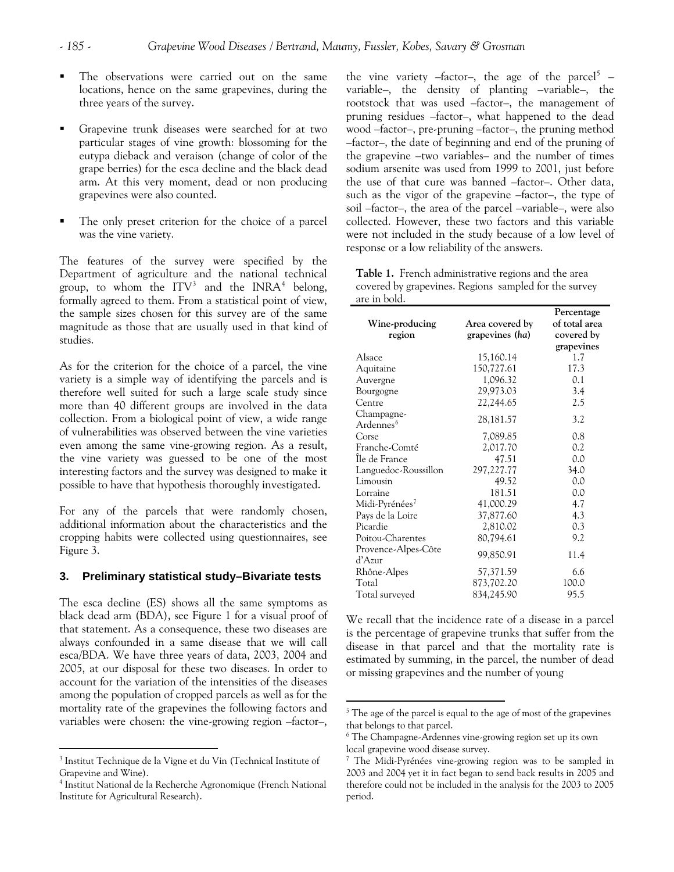- The observations were carried out on the same locations, hence on the same grapevines, during the three years of the survey.
- Grapevine trunk diseases were searched for at two particular stages of vine growth: blossoming for the eutypa dieback and veraison (change of color of the grape berries) for the esca decline and the black dead arm. At this very moment, dead or non producing grapevines were also counted.
- The only preset criterion for the choice of a parcel was the vine variety.

The features of the survey were specified by the Department of agriculture and the national technical group, to whom the  $\text{ITV}^3$  $\text{ITV}^3$  and the INRA<sup>[4](#page-2-1)</sup> belong, formally agreed to them. From a statistical point of view, the sample sizes chosen for this survey are of the same magnitude as those that are usually used in that kind of studies.

As for the criterion for the choice of a parcel, the vine variety is a simple way of identifying the parcels and is therefore well suited for such a large scale study since more than 40 different groups are involved in the data collection. From a biological point of view, a wide range of vulnerabilities was observed between the vine varieties even among the same vine-growing region. As a result, the vine variety was guessed to be one of the most interesting factors and the survey was designed to make it possible to have that hypothesis thoroughly investigated.

For any of the parcels that were randomly chosen, additional information about the characteristics and the cropping habits were collected using questionnaires, see Figure 3.

#### **3. Preliminary statistical study–Bivariate tests**

The esca decline (ES) shows all the same symptoms as black dead arm (BDA), see Figure 1 for a visual proof of that statement. As a consequence, these two diseases are always confounded in a same disease that we will call esca/BDA. We have three years of data, 2003, 2004 and 2005, at our disposal for these two diseases. In order to account for the variation of the intensities of the diseases among the population of cropped parcels as well as for the mortality rate of the grapevines the following factors and variables were chosen: the vine-growing region –factor–,

<span id="page-2-3"></span><span id="page-2-2"></span> $\overline{a}$ 

response or a low reliability of the answers. the vine variety  $-$ factor-, the age of the parcel<sup>[5](#page-2-2)</sup> variable–, the density of planting –variable–, the rootstock that was used –factor–, the management of pruning residues –factor–, what happened to the dead wood –factor–, pre-pruning –factor–, the pruning method –factor–, the date of beginning and end of the pruning of the grapevine –two variables– and the number of times sodium arsenite was used from 1999 to 2001, just before the use of that cure was banned –factor–. Other data, such as the vigor of the grapevine –factor–, the type of soil –factor–, the area of the parcel –variable–, were also collected. However, these two factors and this variable were not included in the study because of a low level of

**Table 1.** French administrative regions and the area covered by grapevines. Regions sampled for the survey are in bold.

|                                     |                                    | Percentage<br>of total area |
|-------------------------------------|------------------------------------|-----------------------------|
| Wine-producing<br>region            | Area covered by<br>grapevines (ha) | covered by                  |
|                                     |                                    | grapevines                  |
| Alsace                              | 15,160.14                          | 1.7                         |
| Aquitaine                           | 150,727.61                         | 17.3                        |
| Auvergne                            | 1,096.32                           | 0.1                         |
| Bourgogne                           | 29,973.03                          | 3.4                         |
| Centre                              | 22,244.65                          | 2.5                         |
| Champagne-<br>Ardennes <sup>6</sup> | 28, 181. 57                        | 3.2                         |
| Corse                               | 7,089.85                           | 0.8                         |
| Franche-Comté                       | 2,017.70                           | 0.2                         |
| Ile de France                       | 47.51                              | 0.0                         |
| Languedoc-Roussillon                | 297,227.77                         | 34.0                        |
| Limousin                            | 49.52                              | 0.0                         |
| Lorraine                            | 181.51                             | 0.0                         |
| Midi-Pyrénées <sup>7</sup>          | 41,000.29                          | 4.7                         |
| Pays de la Loire                    | 37,877.60                          | 4.3                         |
| Picardie                            | 2,810.02                           | 0.3                         |
| Poitou-Charentes                    | 80,794.61                          | 9.2                         |
| Provence-Alpes-Côte<br>d'Azur       | 99,850.91                          | 11.4                        |
| Rhône-Alpes                         | 57,371.59                          | 6.6                         |
| Total                               | 873,702.20                         | 100.0                       |
| Total surveyed                      | 834,245.90                         | 95.5                        |

We recall that the incidence rate of a disease in a parcel is the percentage of grapevine trunks that suffer from the disease in that parcel and that the mortality rate is estimated by summing, in the parcel, the number of dead or missing grapevines and the number of young

<span id="page-2-0"></span><sup>&</sup>lt;sup>3</sup> Institut Technique de la Vigne et du Vin (Technical Institute of Grapevine and Wine).

<span id="page-2-1"></span><sup>4</sup> Institut National de la Recherche Agronomique (French National Institute for Agricultural Research).

<sup>&</sup>lt;sup>5</sup> The age of the parcel is equal to the age of most of the grapevines that belongs to that parcel.

<sup>6</sup> The Champagne-Ardennes vine-growing region set up its own local grapevine wood disease survey.

<sup>&</sup>lt;sup>7</sup> The Midi-Pyrénées vine-growing region was to be sampled in 2003 and 2004 yet it in fact began to send back results in 2005 and therefore could not be included in the analysis for the 2003 to 2005 period.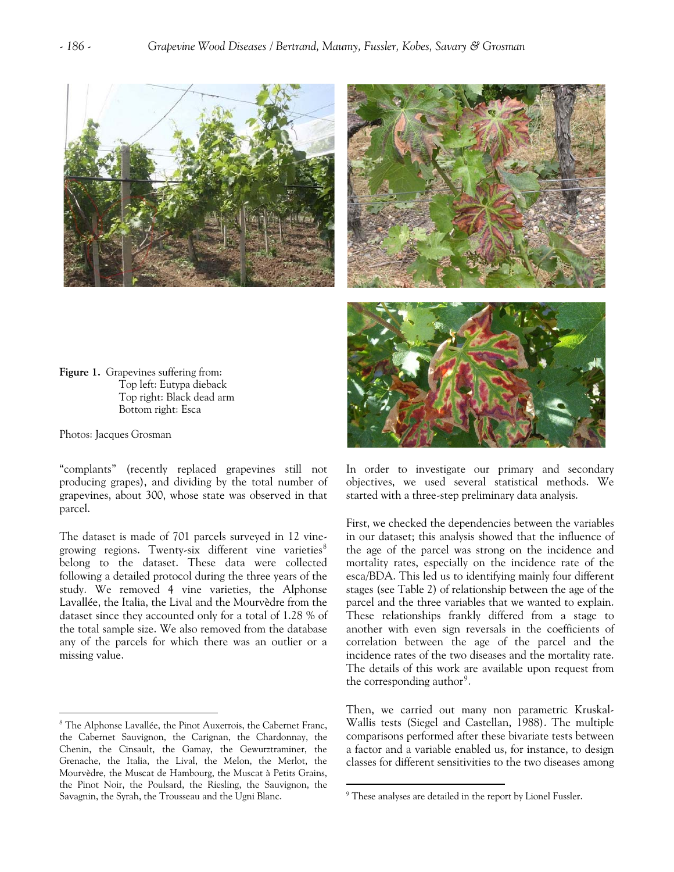





**Figure 1.** Grapevines suffering from: Top left: Eutypa dieback Top right: Black dead arm Bottom right: Esca

Photos: Jacques Grosman

 $\overline{a}$ 

"complants" (recently replaced grapevines still not producing grapes), and dividing by the total number of grapevines, about 300, whose state was observed in that parcel.

The dataset is made of 701 parcels surveyed in 12 vinegrowing regions. Twenty-six different vine varieties $\delta$ belong to the dataset. These data were collected following a detailed protocol during the three years of the study. We removed 4 vine varieties, the Alphonse Lavallée, the Italia, the Lival and the Mourvèdre from the dataset since they accounted only for a total of 1.28 % of the total sample size. We also removed from the database any of the parcels for which there was an outlier or a missing value.

In order to investigate our primary and secondary objectives, we used several statistical methods. We started with a three-step preliminary data analysis.

First, we checked the dependencies between the variables in our dataset; this analysis showed that the influence of the age of the parcel was strong on the incidence and mortality rates, especially on the incidence rate of the esca/BDA. This led us to identifying mainly four different stages (see Table 2) of relationship between the age of the parcel and the three variables that we wanted to explain. These relationships frankly differed from a stage to another with even sign reversals in the coefficients of correlation between the age of the parcel and the incidence rates of the two diseases and the mortality rate. The details of this work are available upon request from the corresponding author<sup>[9](#page-3-1)</sup>.

Then, we carried out many non parametric Kruskal-Wallis tests (Siegel and Castellan, 1988). The multiple comparisons performed after these bivariate tests between a factor and a variable enabled us, for instance, to design classes for different sensitivities to the two diseases among

<span id="page-3-1"></span><span id="page-3-0"></span><sup>&</sup>lt;sup>8</sup> The Alphonse Lavallée, the Pinot Auxerrois, the Cabernet Franc, the Cabernet Sauvignon, the Carignan, the Chardonnay, the Chenin, the Cinsault, the Gamay, the Gewurztraminer, the Grenache, the Italia, the Lival, the Melon, the Merlot, the Mourvèdre, the Muscat de Hambourg, the Muscat à Petits Grains, the Pinot Noir, the Poulsard, the Riesling, the Sauvignon, the Savagnin, the Syrah, the Trousseau and the Ugni Blanc. <sup>9</sup>

<sup>&</sup>lt;sup>9</sup> These analyses are detailed in the report by Lionel Fussler.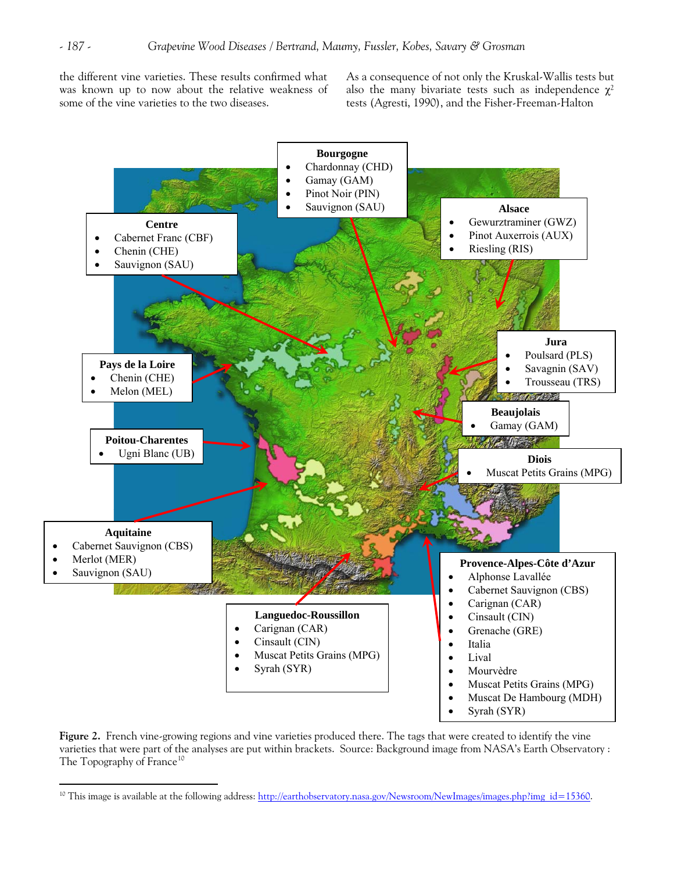the different vine varieties. These results confirmed what was known up to now about the relative weakness of some of the vine varieties to the two diseases.

As a consequence of not only the Kruskal-Wallis tests but also the many bivariate tests such as independence  $\gamma^2$ tests (Agresti, 1990), and the Fisher-Freeman-Halton



**Figure 2.** French vine-growing regions and vine varieties produced there. The tags that were created to identify the vine varieties that were part of the analyses are put within brackets. Source: Background image from NASA's Earth Observatory : The Topography of France<sup>[10](#page-4-0)</sup>

<span id="page-4-0"></span><sup>&</sup>lt;sup>10</sup> This image is available at the following address: [http://earthobservatory.nasa.gov/Newsroom/NewImages/images.php?img\\_id=15360](http://earthobservatory.nasa.gov/Newsroom/NewImages/images.php?img_id=15360).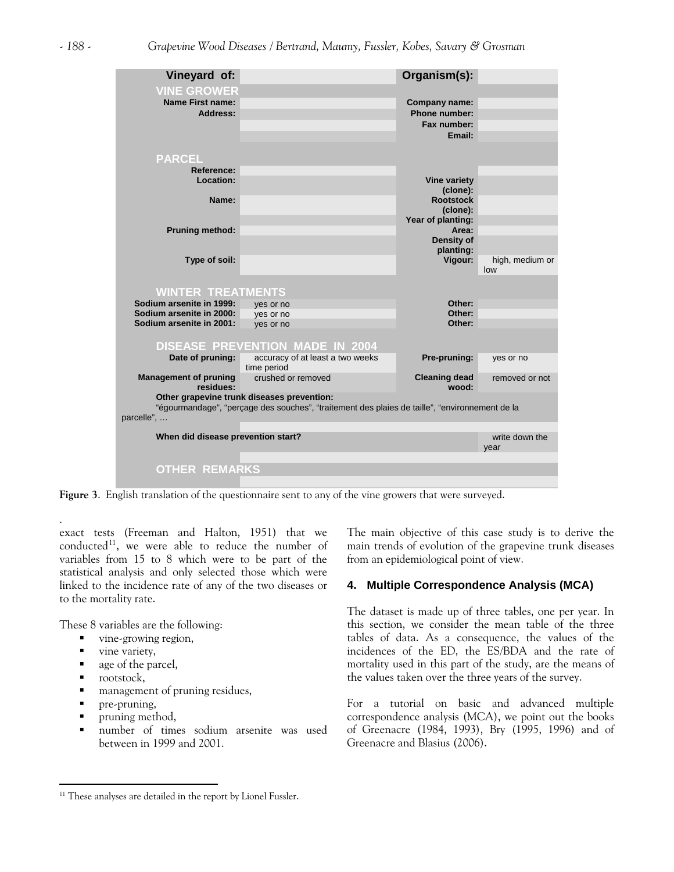

**Figure 3**. English translation of the questionnaire sent to any of the vine growers that were surveyed.

exact tests (Freeman and Halton, 1951) that we conducted $11$ , we were able to reduce the number of variables from 15 to 8 which were to be part of the statistical analysis and only selected those which were linked to the incidence rate of any of the two diseases or to the mortality rate.

These 8 variables are the following:

- vine-growing region,
- vine variety,
- que of the parcel,
- **n** rootstock,

.

 $\overline{a}$ 

- management of pruning residues,
- pre-pruning,
- **•** pruning method,
- number of times sodium arsenite was used between in 1999 and 2001.

The main objective of this case study is to derive the main trends of evolution of the grapevine trunk diseases from an epidemiological point of view.

# **4. Multiple Correspondence Analysis (MCA)**

The dataset is made up of three tables, one per year. In this section, we consider the mean table of the three tables of data. As a consequence, the values of the incidences of the ED, the ES/BDA and the rate of mortality used in this part of the study, are the means of the values taken over the three years of the survey.

For a tutorial on basic and advanced multiple correspondence analysis (MCA), we point out the books of Greenacre (1984, 1993), Bry (1995, 1996) and of Greenacre and Blasius (2006).

<span id="page-5-0"></span> $^{\rm 11}$  These analyses are detailed in the report by Lionel Fussler.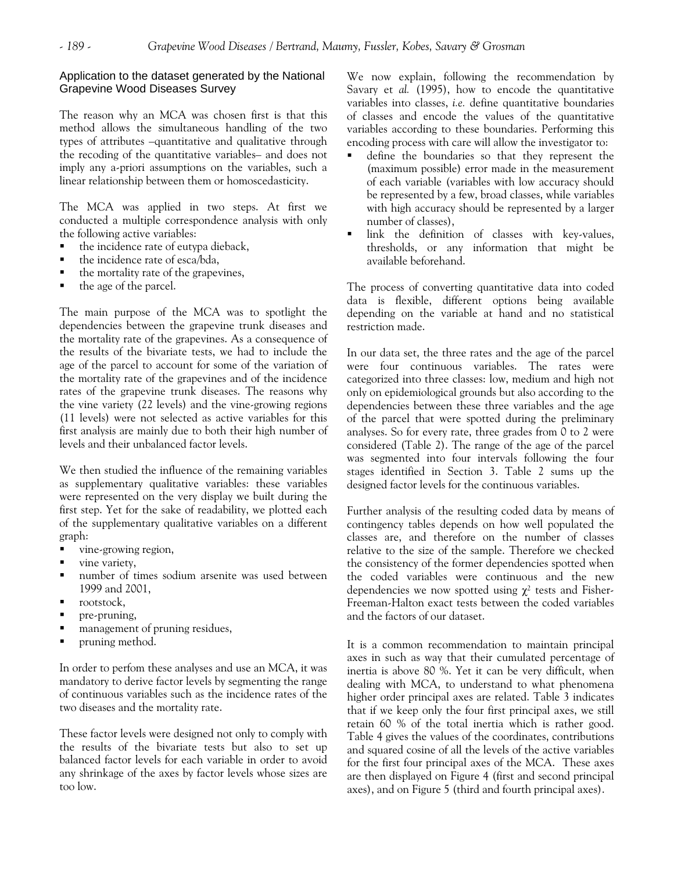# Application to the dataset generated by the National Grapevine Wood Diseases Survey

The reason why an MCA was chosen first is that this method allows the simultaneous handling of the two types of attributes –quantitative and qualitative through the recoding of the quantitative variables– and does not imply any a-priori assumptions on the variables, such a linear relationship between them or homoscedasticity.

The MCA was applied in two steps. At first we conducted a multiple correspondence analysis with only the following active variables:

- the incidence rate of eutypa dieback,
- the incidence rate of esca/bda,
- the mortality rate of the grapevines,
- $\blacksquare$  the age of the parcel.

The main purpose of the MCA was to spotlight the dependencies between the grapevine trunk diseases and the mortality rate of the grapevines. As a consequence of the results of the bivariate tests, we had to include the age of the parcel to account for some of the variation of the mortality rate of the grapevines and of the incidence rates of the grapevine trunk diseases. The reasons why the vine variety (22 levels) and the vine-growing regions (11 levels) were not selected as active variables for this first analysis are mainly due to both their high number of levels and their unbalanced factor levels.

We then studied the influence of the remaining variables as supplementary qualitative variables: these variables were represented on the very display we built during the first step. Yet for the sake of readability, we plotted each of the supplementary qualitative variables on a different graph:

- vine-growing region,
- vine variety,
- number of times sodium arsenite was used between 1999 and 2001,
- rootstock,
- pre-pruning,
- management of pruning residues,
- pruning method.

In order to perfom these analyses and use an MCA, it was mandatory to derive factor levels by segmenting the range of continuous variables such as the incidence rates of the two diseases and the mortality rate.

These factor levels were designed not only to comply with the results of the bivariate tests but also to set up balanced factor levels for each variable in order to avoid any shrinkage of the axes by factor levels whose sizes are too low.

We now explain, following the recommendation by Savary et *al.* (1995), how to encode the quantitative variables into classes, *i.e.* define quantitative boundaries of classes and encode the values of the quantitative variables according to these boundaries. Performing this encoding process with care will allow the investigator to:

- define the boundaries so that they represent the (maximum possible) error made in the measurement of each variable (variables with low accuracy should be represented by a few, broad classes, while variables with high accuracy should be represented by a larger number of classes),
- link the definition of classes with key-values, thresholds, or any information that might be available beforehand.

The process of converting quantitative data into coded data is flexible, different options being available depending on the variable at hand and no statistical restriction made.

In our data set, the three rates and the age of the parcel were four continuous variables. The rates were categorized into three classes: low, medium and high not only on epidemiological grounds but also according to the dependencies between these three variables and the age of the parcel that were spotted during the preliminary analyses. So for every rate, three grades from 0 to 2 were considered (Table 2). The range of the age of the parcel was segmented into four intervals following the four stages identified in Section 3. Table 2 sums up the designed factor levels for the continuous variables.

Further analysis of the resulting coded data by means of contingency tables depends on how well populated the classes are, and therefore on the number of classes relative to the size of the sample. Therefore we checked the consistency of the former dependencies spotted when the coded variables were continuous and the new dependencies we now spotted using  $\chi^2$  tests and Fisher-Freeman-Halton exact tests between the coded variables and the factors of our dataset.

It is a common recommendation to maintain principal axes in such as way that their cumulated percentage of inertia is above 80 %. Yet it can be very difficult, when dealing with MCA, to understand to what phenomena higher order principal axes are related. Table 3 indicates that if we keep only the four first principal axes, we still retain 60 % of the total inertia which is rather good. Table 4 gives the values of the coordinates, contributions and squared cosine of all the levels of the active variables for the first four principal axes of the MCA. These axes are then displayed on Figure 4 (first and second principal axes), and on Figure 5 (third and fourth principal axes).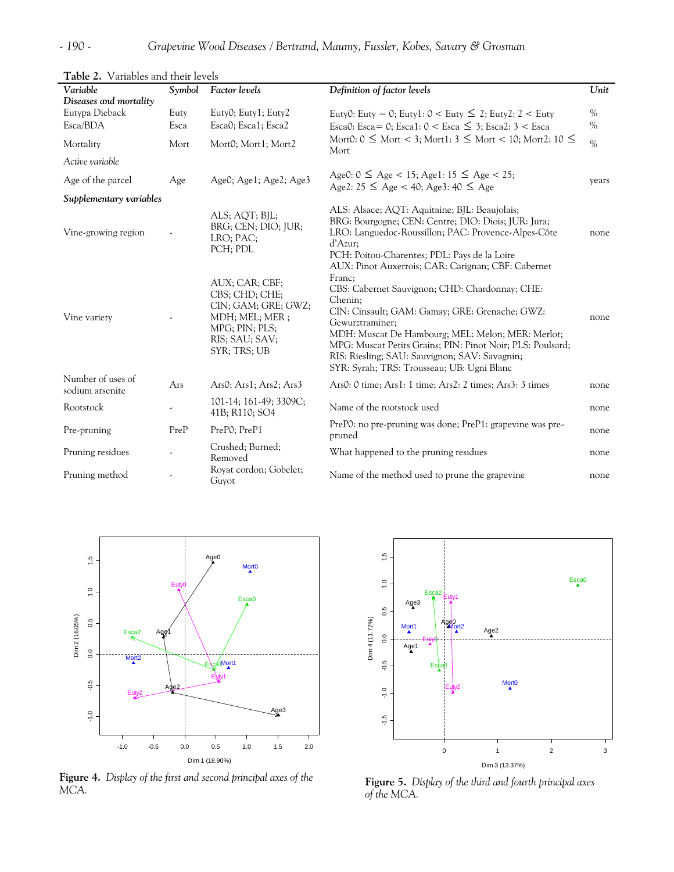| Variable<br>Diseases and mortality   | Symbol       | <b>Factor</b> levels                                                                                                          | Definition of factor levels                                                                                                                                                                                                                                                                                                                                | Unit         |
|--------------------------------------|--------------|-------------------------------------------------------------------------------------------------------------------------------|------------------------------------------------------------------------------------------------------------------------------------------------------------------------------------------------------------------------------------------------------------------------------------------------------------------------------------------------------------|--------------|
| Eutypa Dieback<br>Esca/BDA           | Euty<br>Esca | Euty0; Euty1; Euty2<br>Esca0; Esca1; Esca2                                                                                    | Euty0: Euty = 0; Euty1: $0 <$ Euty $\leq 2$ ; Euty2: 2 $<$ Euty<br>Esca0: Esca= 0; Esca1: $0 <$ Esca $\leq$ 3; Esca2: 3 < Esca                                                                                                                                                                                                                             | $\%$<br>$\%$ |
| Mortality                            | Mort         | Mort0; Mort1; Mort2                                                                                                           | Mort0: $0 \leq$ Mort < 3; Mort1: $3 \leq$ Mort < 10; Mort2: $10 \leq$<br>Mort                                                                                                                                                                                                                                                                              | $\%$         |
| Active variable                      |              |                                                                                                                               |                                                                                                                                                                                                                                                                                                                                                            |              |
| Age of the parcel                    | Age          | Age0; Age1; Age2; Age3                                                                                                        | Age0: $0 \le$ Age < 15; Age1: 15 $\le$ Age < 25;<br>Age2: $25 \le$ Age < 40; Age3: $40 \le$ Age                                                                                                                                                                                                                                                            | years        |
| Supplementary variables              |              |                                                                                                                               |                                                                                                                                                                                                                                                                                                                                                            |              |
| Vine-growing region                  |              | ALS; AQT; BJL;<br>BRG; CEN; DIO; JUR;<br>LRO; PAC;<br>PCH; PDL                                                                | ALS: Alsace; AQT: Aquitaine; BJL: Beaujolais;<br>BRG: Bourgogne; CEN: Centre; DIO: Diois; JUR: Jura;<br>LRO: Languedoc-Roussillon; PAC: Provence-Alpes-Côte<br>d'Azur;<br>PCH: Poitou-Charentes; PDL: Pays de la Loire<br>AUX: Pinot Auxerrois; CAR: Carignan; CBF: Cabernet                                                                               | none         |
| Vine variety                         |              | AUX; CAR; CBF;<br>CBS; CHD; CHE;<br>CIN; GAM; GRE; GWZ;<br>MDH; MEL; MER;<br>MPG; PIN; PLS;<br>RIS; SAU; SAV;<br>SYR; TRS; UB | Franc;<br>CBS: Cabernet Sauvignon; CHD: Chardonnay; CHE:<br>Chenin;<br>CIN: Cinsault; GAM: Gamay; GRE: Grenache; GWZ:<br>Gewurztraminer;<br>MDH: Muscat De Hambourg; MEL: Melon; MER: Merlot;<br>MPG: Muscat Petits Grains; PIN: Pinot Noir; PLS: Poulsard;<br>RIS: Riesling; SAU: Sauvignon; SAV: Savagnin;<br>SYR: Syrah; TRS: Trousseau; UB: Ugni Blanc | none         |
| Number of uses of<br>sodium arsenite | Ars          | Ars0; Ars1; Ars2; Ars3                                                                                                        | Ars0: 0 time; Ars1: 1 time; Ars2: 2 times; Ars3: 3 times                                                                                                                                                                                                                                                                                                   | none         |
| Rootstock                            |              | 101-14; 161-49; 3309C;<br>41B; R110; SO4                                                                                      | Name of the rootstock used                                                                                                                                                                                                                                                                                                                                 | none         |
| Pre-pruning                          | PreP         | PreP0; PreP1                                                                                                                  | PreP0: no pre-pruning was done; PreP1: grapevine was pre-<br>pruned                                                                                                                                                                                                                                                                                        | none         |
| Pruning residues                     |              | Crushed; Burned;<br>Removed                                                                                                   | What happened to the pruning residues                                                                                                                                                                                                                                                                                                                      | none         |
| Pruning method                       |              | Royat cordon; Gobelet;<br>Guyot                                                                                               | Name of the method used to prune the grapevine                                                                                                                                                                                                                                                                                                             | none         |

**Table 2.** Variables and their levels



**Figure 4.** *Display of the first and second principal axes of the MCA.*



**Figure 5.** *Display of the third and fourth principal axes of the MCA.*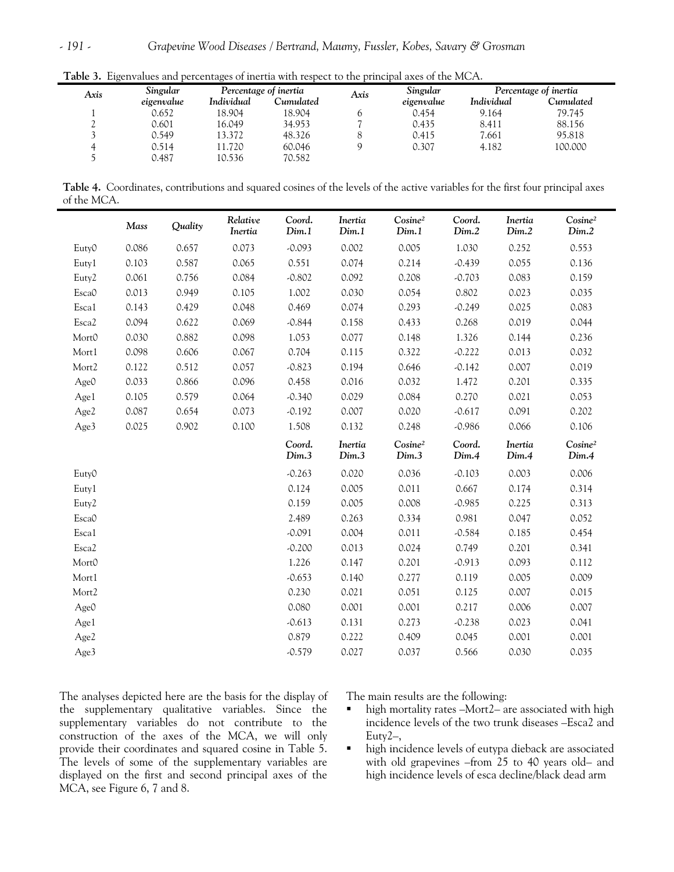| Axis | Singular   |            | Percentage of inertia | Axis | Singular   | Percentage of inertia |           |  |
|------|------------|------------|-----------------------|------|------------|-----------------------|-----------|--|
|      | eigenvalue | Individual | Cumulated             |      | eigenvalue | Individual            | Cumulated |  |
|      | 0.652      | 18.904     | 18.904                | 0    | 0.454      | 9.164                 | 79.745    |  |
| ∼    | 0.601      | 16.049     | 34.953                |      | 0.435      | 8.411                 | 88.156    |  |
|      | 0.549      | 13.372     | 48.326                |      | 0.415      | 7.661                 | 95.818    |  |
|      | 0.514      | 11.720     | 60.046                |      | 0.307      | 4.182                 | 100.000   |  |
|      | 0.487      | 10.536     | 70.582                |      |            |                       |           |  |

**Table 3.** Eigenvalues and percentages of inertia with respect to the principal axes of the MCA.

**Table 4.** Coordinates, contributions and squared cosines of the levels of the active variables for the first four principal axes of the MCA.

|                   | Mass  | Quality | Relative<br>Inertia | Coord.<br>Dim.1 | Inertia<br>Dim.1 | Cosine <sup>2</sup><br>Dim.1 | Coord.<br>Dim.2 | Inertia<br>Dim.2 | Cosine <sup>2</sup><br>Dim.2 |
|-------------------|-------|---------|---------------------|-----------------|------------------|------------------------------|-----------------|------------------|------------------------------|
| Euty0             | 0.086 | 0.657   | 0.073               | $-0.093$        | 0.002            | 0.005                        | 1.030           | 0.252            | 0.553                        |
| Euty1             | 0.103 | 0.587   | 0.065               | 0.551           | 0.074            | 0.214                        | $-0.439$        | 0.055            | 0.136                        |
| Euty <sub>2</sub> | 0.061 | 0.756   | 0.084               | $-0.802$        | 0.092            | 0.208                        | $-0.703$        | 0.083            | 0.159                        |
| Esca0             | 0.013 | 0.949   | 0.105               | 1.002           | 0.030            | 0.054                        | 0.802           | 0.023            | 0.035                        |
| Esca1             | 0.143 | 0.429   | 0.048               | 0.469           | 0.074            | 0.293                        | $-0.249$        | 0.025            | 0.083                        |
| Esca <sub>2</sub> | 0.094 | 0.622   | 0.069               | $-0.844$        | 0.158            | 0.433                        | 0.268           | 0.019            | 0.044                        |
| MortO             | 0.030 | 0.882   | 0.098               | 1.053           | 0.077            | 0.148                        | 1.326           | 0.144            | 0.236                        |
| Mort1             | 0.098 | 0.606   | 0.067               | 0.704           | 0.115            | 0.322                        | $-0.222$        | 0.013            | 0.032                        |
| Mort2             | 0.122 | 0.512   | 0.057               | $-0.823$        | 0.194            | 0.646                        | $-0.142$        | 0.007            | 0.019                        |
| Age0              | 0.033 | 0.866   | 0.096               | 0.458           | 0.016            | 0.032                        | 1.472           | 0.201            | 0.335                        |
| Age1              | 0.105 | 0.579   | 0.064               | $-0.340$        | 0.029            | 0.084                        | 0.270           | 0.021            | 0.053                        |
| Age2              | 0.087 | 0.654   | 0.073               | $-0.192$        | 0.007            | 0.020                        | $-0.617$        | 0.091            | 0.202                        |
| Age3              | 0.025 | 0.902   | 0.100               | 1.508           | 0.132            | 0.248                        | $-0.986$        | 0.066            | 0.106                        |
|                   |       |         |                     | Coord.          | Inertia          | Cosine <sup>2</sup>          | Coord.          | Inertia          | Cosine <sup>2</sup>          |
|                   |       |         |                     | Dim.3           | Dim.3            | Dim.3                        | Dim.4           | Dim.4            | Dim.4                        |
| Euty0             |       |         |                     | $-0.263$        | 0.020            | 0.036                        | $-0.103$        | 0.003            | 0.006                        |
| Euty1             |       |         |                     | 0.124           | 0.005            | 0.011                        | 0.667           | 0.174            | 0.314                        |
| Euty2             |       |         |                     | 0.159           | 0.005            | 0.008                        | $-0.985$        | 0.225            | 0.313                        |
| Esca0             |       |         |                     | 2.489           | 0.263            | 0.334                        | 0.981           | 0.047            | 0.052                        |
| Esca1             |       |         |                     | $-0.091$        | 0.004            | 0.011                        | $-0.584$        | 0.185            | 0.454                        |
| Esca2             |       |         |                     | $-0.200$        | 0.013            | 0.024                        | 0.749           | 0.201            | 0.341                        |
| Mort <sub>0</sub> |       |         |                     | 1.226           | 0.147            | 0.201                        | $-0.913$        | 0.093            | 0.112                        |
| Mort1             |       |         |                     | $-0.653$        | 0.140            | 0.277                        | 0.119           | 0.005            | 0.009                        |
| Mort2             |       |         |                     | 0.230           | 0.021            | 0.051                        | 0.125           | 0.007            | 0.015                        |
| Age0              |       |         |                     | 0.080           | 0.001            | 0.001                        | 0.217           | 0.006            | 0.007                        |
| Age1              |       |         |                     | $-0.613$        | 0.131            | 0.273                        | $-0.238$        | 0.023            | 0.041                        |
| Age2              |       |         |                     | 0.879           | 0.222            | 0.409                        | 0.045           | 0.001            | 0.001                        |

The analyses depicted here are the basis for the display of the supplementary qualitative variables. Since the supplementary variables do not contribute to the construction of the axes of the MCA, we will only provide their coordinates and squared cosine in Table 5. The levels of some of the supplementary variables are displayed on the first and second principal axes of the MCA, see Figure 6, 7 and 8.

The main results are the following:

- high mortality rates -Mort2- are associated with high incidence levels of the two trunk diseases –Esca2 and Euty2–,
- high incidence levels of eutypa dieback are associated with old grapevines –from 25 to 40 years old– and high incidence levels of esca decline/black dead arm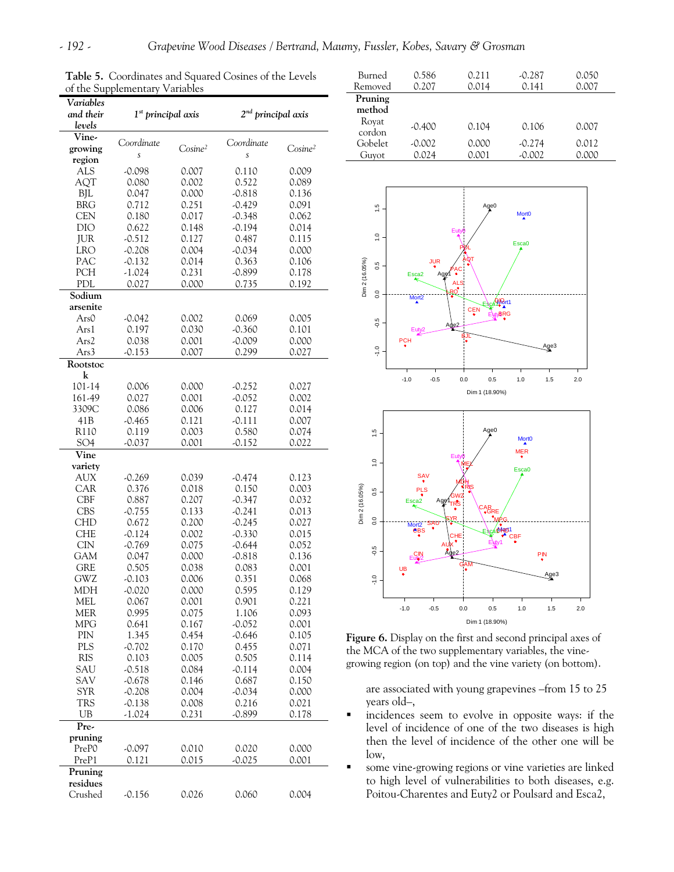| of the Supplementary Variables |                                |                     |                      |                     |  |  |  |
|--------------------------------|--------------------------------|---------------------|----------------------|---------------------|--|--|--|
| Variables                      |                                |                     |                      |                     |  |  |  |
| and their                      | 1 <sup>st</sup> principal axis |                     | $2nd$ principal axis |                     |  |  |  |
| levels                         |                                |                     |                      |                     |  |  |  |
| Vine-                          | Coordinate                     |                     | Coordinate           |                     |  |  |  |
| growing                        | S                              | Cosine <sup>2</sup> | Ś                    | Cosine <sup>2</sup> |  |  |  |
| region                         |                                |                     |                      |                     |  |  |  |
| <b>ALS</b>                     | $-0.098$                       | 0.007               | 0.110                | 0.009               |  |  |  |
| AQT                            | 0.080                          | 0.002               | 0.522                | 0.089               |  |  |  |
| <b>BJL</b>                     | 0.047                          | 0.000               | $-0.818$             | 0.136               |  |  |  |
| <b>BRG</b>                     | 0.712                          | 0.251               | $-0.429$             | 0.091               |  |  |  |
| <b>CEN</b>                     | 0.180                          | 0.017               | $-0.348$             | 0.062               |  |  |  |
| DIO                            | 0.622                          | 0.148               | $-0.194$             | 0.014               |  |  |  |
| <b>JUR</b>                     | $-0.512$                       | 0.127               | 0.487                | 0.115               |  |  |  |
| <b>LRO</b>                     | $-0.208$                       | 0.004               | $-0.034$             | 0.000               |  |  |  |
| PAC                            | $-0.132$                       | 0.014               | 0.363                | 0.106               |  |  |  |
| PCH                            | $-1.024$                       | 0.231               | -0.899               | 0.178               |  |  |  |
| PDL<br>Sodium                  | 0.027                          | 0.000               | 0.735                | 0.192               |  |  |  |
| arsenite                       |                                |                     |                      |                     |  |  |  |
| Ars0                           | $-0.042$                       | 0.002               | 0.069                | 0.005               |  |  |  |
| Ars1                           | 0.197                          | 0.030               | -0.360               | 0.101               |  |  |  |
| Ars2                           | 0.038                          | 0.001               | $-0.009$             | 0.000               |  |  |  |
| Ars3                           | $-0.153$                       | 0.007               | 0.299                | 0.027               |  |  |  |
| Rootstoc                       |                                |                     |                      |                     |  |  |  |
| k                              |                                |                     |                      |                     |  |  |  |
| 101-14                         | 0.006                          | 0.000               | $-0.252$             | 0.027               |  |  |  |
| 161-49                         | 0.027                          | 0.001               | $-0.052$             | 0.002               |  |  |  |
| 3309C                          | 0.086                          | 0.006               | 0.127                | 0.014               |  |  |  |
| 41B                            | $-0.465$                       | 0.121               | $-0.111$             | 0.007               |  |  |  |
| R110                           | 0.119                          | 0.003               | 0.580                | 0.074               |  |  |  |
| SO <sub>4</sub>                | $-0.037$                       | 0.001               | $-0.152$             | 0.022               |  |  |  |
| Vine                           |                                |                     |                      |                     |  |  |  |
| variety                        |                                |                     |                      |                     |  |  |  |
| AUX                            | $-0.269$                       | 0.039               | -0.474               | 0.123               |  |  |  |
| CAR                            | 0.376                          | 0.018               | 0.150                | 0.003               |  |  |  |
| <b>CBF</b>                     | 0.887                          | 0.207               | $-0.347$             | 0.032               |  |  |  |
| <b>CBS</b>                     | $-0.755$                       | 0.133               | $-0.241$             | 0.013               |  |  |  |
| CHD                            | 0.672                          | 0.200               | $-0.245$             | 0.027               |  |  |  |
| <b>CHE</b>                     | $-0.124$                       | 0.002               | $-0.330$             | 0.015               |  |  |  |
| <b>CIN</b>                     | $-0.769$                       | 0.075               | $-0.644$             | 0.052               |  |  |  |
| <b>GAM</b>                     | 0.047                          | 0.000               | $-0.818$             | 0.136               |  |  |  |
| GRE                            | 0.505                          | 0.038               | 0.083                | 0.001               |  |  |  |
| GWZ                            | $-0.103$                       | 0.006               | 0.351                | 0.068               |  |  |  |
| MDH                            | $-0.020$                       | 0.000               | 0.595                | 0.129               |  |  |  |
| <b>MEL</b><br><b>MER</b>       | 0.067<br>0.995                 | 0.001<br>0.075      | 0.901<br>1.106       | 0.221<br>0.093      |  |  |  |
| MPG                            | 0.641                          | 0.167               | $-0.052$             | 0.001               |  |  |  |
| PIN                            | 1.345                          | 0.454               | $-0.646$             | 0.105               |  |  |  |
| PLS                            | $-0.702$                       | 0.170               | 0.455                | 0.071               |  |  |  |
| <b>RIS</b>                     | 0.103                          | 0.005               | 0.505                | 0.114               |  |  |  |
| SAU                            | $-0.518$                       | 0.084               | $-0.114$             | 0.004               |  |  |  |
| SAV                            | $-0.678$                       | 0.146               | 0.687                | 0.150               |  |  |  |
| SYR                            | $-0.208$                       | 0.004               | $-0.034$             | 0.000               |  |  |  |
| <b>TRS</b>                     | $-0.138$                       | 0.008               | 0.216                | 0.021               |  |  |  |
| UB                             | $-1.024$                       | 0.231               | $-0.899$             | 0.178               |  |  |  |
| $\overline{\mathbf{P}}$ re-    |                                |                     |                      |                     |  |  |  |
| pruning                        |                                |                     |                      |                     |  |  |  |
| PreP0                          | $-0.097$                       | 0.010               | 0.020                | 0.000               |  |  |  |
| PreP1                          | 0.121                          | 0.015               | $-0.025$             | 0.001               |  |  |  |
| Pruning                        |                                |                     |                      |                     |  |  |  |
| residues                       |                                |                     |                      |                     |  |  |  |
| Crushed                        | $-0.156$                       | 0.026               | 0.060                | 0.004               |  |  |  |

**Table 5.** Coordinates and Squared Cosines of the Levels

| Burned<br>Removed | 0.586<br>0.207 | 0.211<br>0.014 | $-0.287$<br>0.141 | 0.050<br>0.007 |
|-------------------|----------------|----------------|-------------------|----------------|
| Pruning           |                |                |                   |                |
| method            |                |                |                   |                |
| Royat<br>cordon   | $-0.400$       | 0.104          | 0.106             | 0.007          |
| Gobelet           | $-0.002$       | 0.000          | $-0.274$          | 0.012          |
| Guyot             | 0.024          |                | -0.002            | 0.000          |



**Figure 6.** Display on the first and second principal axes of the MCA of the two supplementary variables, the vinegrowing region (on top) and the vine variety (on bottom).

are associated with young grapevines –from 15 to 25 years old–,

- incidences seem to evolve in opposite ways: if the level of incidence of one of the two diseases is high then the level of incidence of the other one will be low,
- some vine-growing regions or vine varieties are linked to high level of vulnerabilities to both diseases, e.g. Poitou-Charentes and Euty2 or Poulsard and Esca2,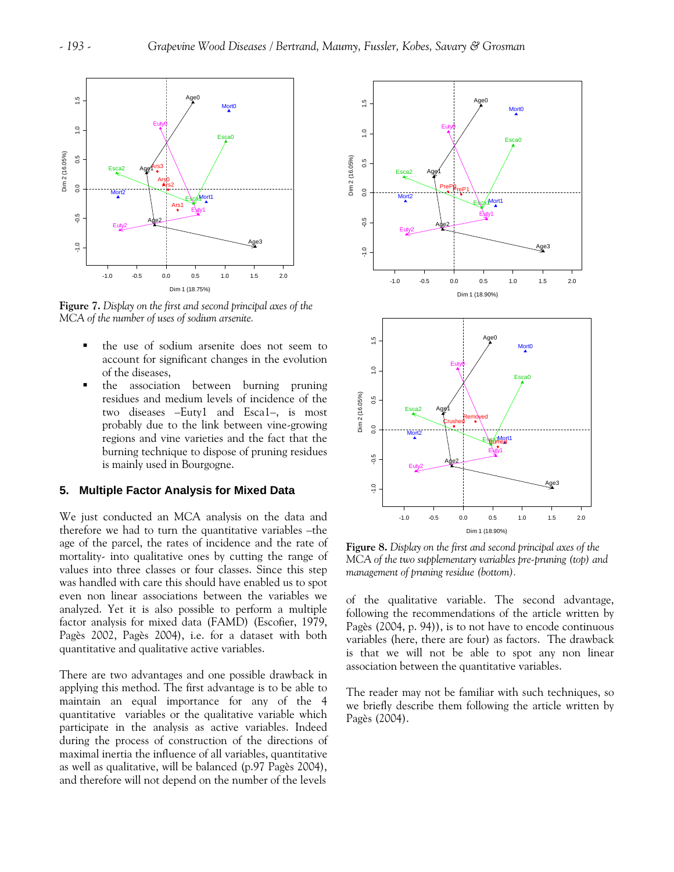

**Figure 7.** *Display on the first and second principal axes of the MCA of the number of uses of sodium arsenite.* 

- the use of sodium arsenite does not seem to account for significant changes in the evolution of the diseases,
- **the association between burning pruning** residues and medium levels of incidence of the two diseases –Euty1 and Esca1–, is most probably due to the link between vine-growing regions and vine varieties and the fact that the burning technique to dispose of pruning residues is mainly used in Bourgogne.

# **5. Multiple Factor Analysis for Mixed Data**

We just conducted an MCA analysis on the data and therefore we had to turn the quantitative variables –the age of the parcel, the rates of incidence and the rate of mortality- into qualitative ones by cutting the range of values into three classes or four classes. Since this step was handled with care this should have enabled us to spot even non linear associations between the variables we analyzed. Yet it is also possible to perform a multiple factor analysis for mixed data (FAMD) (Escofier, 1979, Pagès 2002, Pagès 2004), i.e. for a dataset with both quantitative and qualitative active variables.

There are two advantages and one possible drawback in applying this method. The first advantage is to be able to maintain an equal importance for any of the 4 quantitative variables or the qualitative variable which participate in the analysis as active variables. Indeed during the process of construction of the directions of maximal inertia the influence of all variables, quantitative as well as qualitative, will be balanced (p.97 Pagès 2004), and therefore will not depend on the number of the levels



**Figure 8.** *Display on the first and second principal axes of the MCA of the two supplementary variables pre-pruning (top) and management of pruning residue (bottom).* 

of the qualitative variable. The second advantage, following the recommendations of the article written by Pagès (2004, p. 94)), is to not have to encode continuous variables (here, there are four) as factors. The drawback is that we will not be able to spot any non linear association between the quantitative variables.

The reader may not be familiar with such techniques, so we briefly describe them following the article written by Pagès (2004).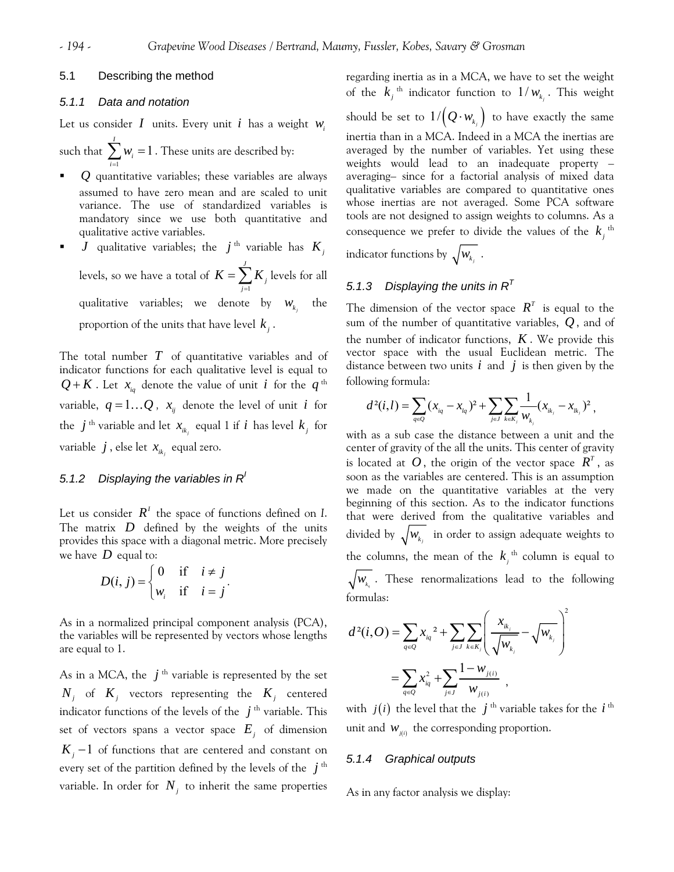# 5.1 Describing the method

# *5.1.1 Data and notation*

Let us consider  $I$  units. Every unit  $i$  has a weight  $w_i$ 

such that  $\sum w_i = 1$ . These units are described by: 1 *I*  $\sum w_i = 1$ *i* =

- *Q* quantitative variables; these variables are always assumed to have zero mean and are scaled to unit variance. The use of standardized variables is mandatory since we use both quantitative and qualitative active variables.
- *J* qualitative variables; the *j*<sup>th</sup> variable has  $K_i$ levels, so we have a total of 1 *J*  $K = \sum_{j=1}^{n} K_j$  levels for all qualitative variables; we denote by  $w_{k_i}$  the proportion of the units that have level  $k_i$ .

The total number *T* of quantitative variables and of indicator functions for each qualitative level is equal to  $Q$  +  $K$  . Let  $x_{i_q}$  denote the value of unit  $i$  for the  $q$ <sup>th</sup> variable,  $q = 1...Q$ ,  $x_{ij}$  denote the level of unit *i* for the  $j^{\text{th}}$  variable and let  $x_{ik_j}$  equal 1 if *i* has level  $k_j$  for variable  $j$ , else let  $x_{ik}$  equal zero.

# *5.1.2 Displaying the variables in RI*

Let us consider  $\mathbb{R}^I$  the space of functions defined on *I*. The matrix  $D$  defined by the weights of the units provides this space with a diagonal metric. More precisely we have  $D$  equal to:

$$
D(i, j) = \begin{cases} 0 & \text{if } i \neq j \\ w_i & \text{if } i = j \end{cases}.
$$

As in a normalized principal component analysis (PCA), the variables will be represented by vectors whose lengths are equal to 1.

As in a MCA, the  $j<sup>th</sup>$  variable is represented by the set  $N_i$  of  $K_j$  vectors representing the  $K_j$  centered indicator functions of the levels of the  $j<sup>th</sup>$  variable. This set of vectors spans a vector space  $E_i$  of dimension  $K_j - 1$  of functions that are centered and constant on every set of the partition defined by the levels of the  $j^{\text{th}}$ variable. In order for  $N<sub>j</sub>$  to inherit the same properties

regarding inertia as in a MCA, we have to set the weight of the  $k_j$ <sup>th</sup> indicator function to  $1/w_{k_j}$ . This weight should be set to  $1/{\left( \mathcal{Q} \cdot w_{_{k_{_{j}}}} \right)}$  to have exactly the same inertia than in a MCA. Indeed in a MCA the inertias are averaged by the number of variables. Yet using these weights would lead to an inadequate property – averaging– since for a factorial analysis of mixed data qualitative variables are compared to quantitative ones whose inertias are not averaged. Some PCA software tools are not designed to assign weights to columns. As a consequence we prefer to divide the values of the  $k_i$ <sup>th</sup> indicator functions by  $\sqrt{W_{k_j}}$  .

# *5.1.3 Displaying the units in RT*

The dimension of the vector space  $R^T$  is equal to the sum of the number of quantitative variables,  $\overline{\mathcal{Q}}$  , and of the number of indicator functions,  $K$ . We provide this vector space with the usual Euclidean metric. The distance between two units  $i$  and  $j$  is then given by the following formula:

$$
d^2(i,l) = \sum_{q\in Q} (x_{iq} - x_{lq})^2 + \sum_{j\in J} \sum_{k\in K_j} \frac{1}{w_{k_j}} (x_{ik_j} - x_{lk_j})^2,
$$

with as a sub case the distance between a unit and the center of gravity of the all the units. This center of gravity is located at  $O$ , the origin of the vector space  $R^T$ , as soon as the variables are centered. This is an assumption we made on the quantitative variables at the very beginning of this section. As to the indicator functions that were derived from the qualitative variables and divided by  $\sqrt{W_{k_j}}$  in order to assign adequate weights to the columns, the mean of the  $k_i$ <sup>th</sup> column is equal to  $w_{k_{\alpha}}$ . These renormalizations lead to the following formulas:  $\overline{2}$ 

$$
d^{2}(i, O) = \sum_{q \in Q} x_{iq}^{2} + \sum_{j \in J} \sum_{k \in K_{j}} \left( \frac{x_{ik_{j}}}{\sqrt{W_{k_{j}}}} - \sqrt{W_{k_{j}}}\right)
$$
  
= 
$$
\sum_{q \in Q} x_{iq}^{2} + \sum_{j \in J} \frac{1 - W_{j(i)}}{W_{j(i)}},
$$

with  $j(i)$  the level that the  $j<sup>th</sup>$  variable takes for the  $i<sup>th</sup>$ unit and  $W_{j(i)}$  the corresponding proportion.

# *5.1.4 Graphical outputs*

As in any factor analysis we display: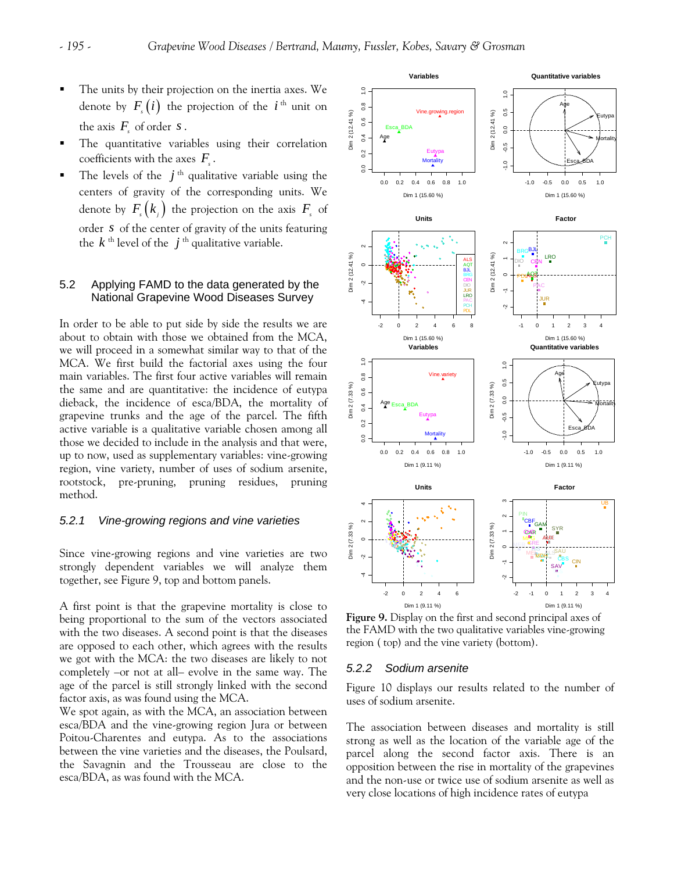- The units by their projection on the inertia axes. We denote by  $F(i)$  the projection of the *i*<sup>th</sup> unit on the axis  $F_s$  of order  $s$ .
- The quantitative variables using their correlation coefficients with the axes  $F_{\cdot}$ .
- The levels of the  $j<sup>th</sup>$  qualitative variable using the centers of gravity of the corresponding units. We denote by  $F_s(k_j)$  the projection on the axis  $F_s$  of order *s* of the center of gravity of the units featuring the  $k^{\text{th}}$  level of the  $j^{\text{th}}$  qualitative variable.

# 5.2 Applying FAMD to the data generated by the National Grapevine Wood Diseases Survey

In order to be able to put side by side the results we are about to obtain with those we obtained from the MCA, we will proceed in a somewhat similar way to that of the MCA. We first build the factorial axes using the four main variables. The first four active variables will remain the same and are quantitative: the incidence of eutypa dieback, the incidence of esca/BDA, the mortality of grapevine trunks and the age of the parcel. The fifth active variable is a qualitative variable chosen among all those we decided to include in the analysis and that were, up to now, used as supplementary variables: vine-growing region, vine variety, number of uses of sodium arsenite, rootstock, pre-pruning, pruning residues, pruning method.

# *5.2.1 Vine-growing regions and vine varieties*

Since vine-growing regions and vine varieties are two strongly dependent variables we will analyze them together, see Figure 9, top and bottom panels.

A first point is that the grapevine mortality is close to being proportional to the sum of the vectors associated with the two diseases. A second point is that the diseases are opposed to each other, which agrees with the results we got with the MCA: the two diseases are likely to not completely –or not at all– evolve in the same way. The age of the parcel is still strongly linked with the second factor axis, as was found using the MCA.

We spot again, as with the MCA, an association between esca/BDA and the vine-growing region Jura or between Poitou-Charentes and eutypa. As to the associations between the vine varieties and the diseases, the Poulsard, the Savagnin and the Trousseau are close to the esca/BDA, as was found with the MCA.



**Figure 9.** Display on the first and second principal axes of the FAMD with the two qualitative variables vine-growing region ( top) and the vine variety (bottom).

#### *5.2.2 Sodium arsenite*

Figure 10 displays our results related to the number of uses of sodium arsenite.

The association between diseases and mortality is still strong as well as the location of the variable age of the parcel along the second factor axis. There is an opposition between the rise in mortality of the grapevines and the non-use or twice use of sodium arsenite as well as very close locations of high incidence rates of eutypa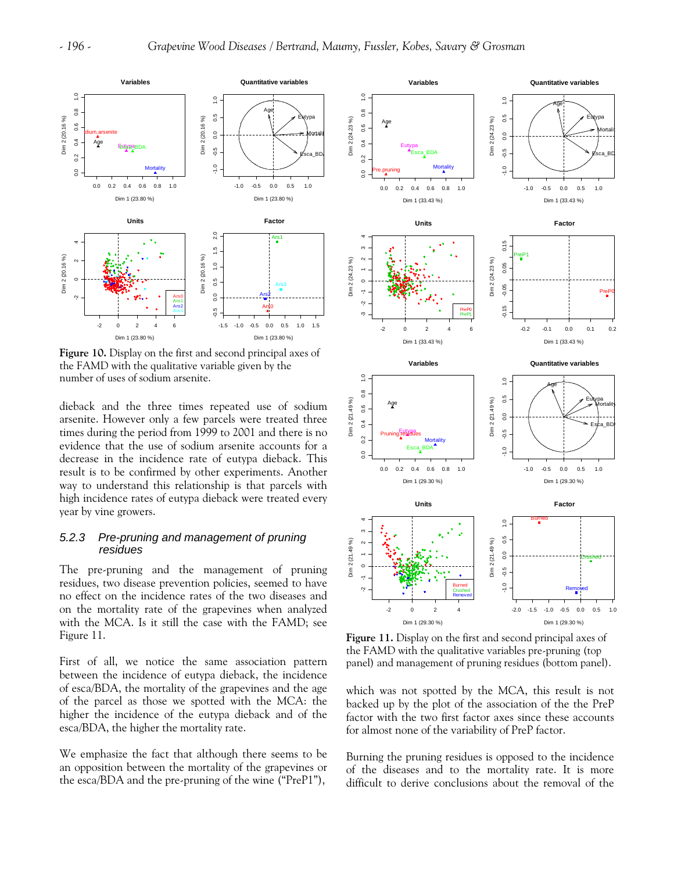

**Figure 10.** Display on the first and second principal axes of the FAMD with the qualitative variable given by the number of uses of sodium arsenite.

dieback and the three times repeated use of sodium arsenite. However only a few parcels were treated three times during the period from 1999 to 2001 and there is no evidence that the use of sodium arsenite accounts for a decrease in the incidence rate of eutypa dieback. This result is to be confirmed by other experiments. Another way to understand this relationship is that parcels with high incidence rates of eutypa dieback were treated every year by vine growers.

# *5.2.3 Pre-pruning and management of pruning residues*

The pre-pruning and the management of pruning residues, two disease prevention policies, seemed to have no effect on the incidence rates of the two diseases and on the mortality rate of the grapevines when analyzed with the MCA. Is it still the case with the FAMD; see Figure 11.

First of all, we notice the same association pattern between the incidence of eutypa dieback, the incidence of esca/BDA, the mortality of the grapevines and the age of the parcel as those we spotted with the MCA: the higher the incidence of the eutypa dieback and of the esca/BDA, the higher the mortality rate.

We emphasize the fact that although there seems to be an opposition between the mortality of the grapevines or the esca/BDA and the pre-pruning of the wine ("PreP1"),



**Figure 11.** Display on the first and second principal axes of the FAMD with the qualitative variables pre-pruning (top panel) and management of pruning residues (bottom panel).

which was not spotted by the MCA, this result is not backed up by the plot of the association of the the PreP factor with the two first factor axes since these accounts for almost none of the variability of PreP factor.

Burning the pruning residues is opposed to the incidence of the diseases and to the mortality rate. It is more difficult to derive conclusions about the removal of the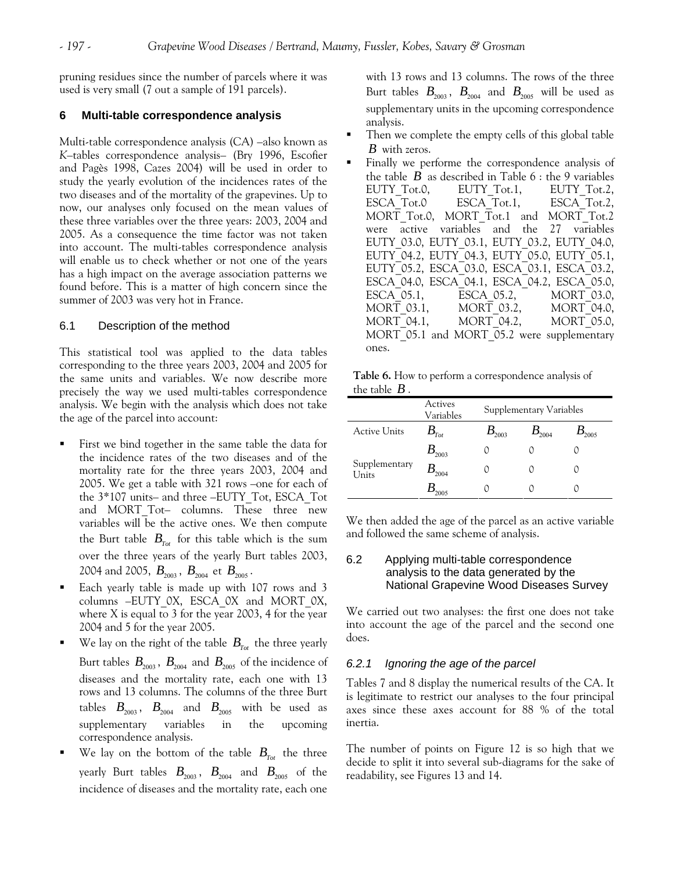pruning residues since the number of parcels where it was used is very small (7 out a sample of 191 parcels).

#### **6 Multi-table correspondence analysis**

Multi-table correspondence analysis (CA) –also known as *K*–tables correspondence analysis– (Bry 1996, Escofier and Pagès 1998, Cazes 2004) will be used in order to study the yearly evolution of the incidences rates of the two diseases and of the mortality of the grapevines. Up to now, our analyses only focused on the mean values of these three variables over the three years: 2003, 2004 and 2005. As a consequence the time factor was not taken into account. The multi-tables correspondence analysis will enable us to check whether or not one of the years has a high impact on the average association patterns we found before. This is a matter of high concern since the summer of 2003 was very hot in France.

# 6.1 Description of the method

This statistical tool was applied to the data tables corresponding to the three years 2003, 2004 and 2005 for the same units and variables. We now describe more precisely the way we used multi-tables correspondence analysis. We begin with the analysis which does not take the age of the parcel into account:

- First we bind together in the same table the data for the incidence rates of the two diseases and of the mortality rate for the three years 2003, 2004 and 2005. We get a table with 321 rows –one for each of the 3\*107 units– and three –EUTY\_Tot, ESCA\_Tot and MORT Tot- columns. These three new variables will be the active ones. We then compute the Burt table  $B_{T_{tot}}$  for this table which is the sum over the three years of the yearly Burt tables 2003, 2004 and 2005,  $B_{2003}$ ,  $B_{2004}$  et  $B_{2005}$ .
- Each yearly table is made up with 107 rows and 3 columns –EUTY\_0X, ESCA\_0X and MORT\_0X, where X is equal to 3 for the year 2003, 4 for the year 2004 and 5 for the year 2005.
- We lay on the right of the table  $B_{T_{tot}}$  the three yearly Burt tables  $B_{2003}$ ,  $B_{2004}$  and  $B_{2005}$  of the incidence of diseases and the mortality rate, each one with 13 rows and 13 columns. The columns of the three Burt tables  $B_{2003}$ ,  $B_{2004}$  and  $B_{2005}$  with be used as supplementary variables in the upcoming correspondence analysis.
- We lay on the bottom of the table  $B_{T_{\text{ext}}}$  the three yearly Burt tables  $B_{2003}$ ,  $B_{2004}$  and  $B_{2005}$  of the incidence of diseases and the mortality rate, each one

with 13 rows and 13 columns. The rows of the three Burt tables  $B_{2003}$ ,  $B_{2004}$  and  $B_{2005}$  will be used as supplementary units in the upcoming correspondence analysis.

- Then we complete the empty cells of this global table *B* with zeros.
- Finally we performe the correspondence analysis of the table  $B$  as described in Table  $6$ : the 9 variables EUTY\_Tot.0, EUTY\_Tot.1, EUTY\_Tot.2,<br>ESCA\_Tot.0 ESCA\_Tot.1, ESCA\_Tot.2,  $ESCA\overline{Tot.1}$ , MORT Tot.0, MORT Tot.1 and MORT Tot.2 were active variables and the 27 variables EUTY\_03.0, EUTY\_03.1, EUTY\_03.2, EUTY\_04.0, EUTY\_04.2, EUTY\_04.3, EUTY\_05.0, EUTY\_05.1, EUTY\_05.2, ESCA\_03.0, ESCA\_03.1, ESCA\_03.2, ESCA\_04.0, ESCA\_04.1, ESCA\_04.2, ESCA\_05.0, ESCA\_05.1, ESCA\_05.2, MORT\_03.0, MORT\_03.1, MORT\_03.2, MORT\_04.0, MORT 04.1, MORT 04.2, MORT 05.0, MORT 05.1 and MORT 05.2 were supplementary ones.

|                 | Table 6. How to perform a correspondence analysis of |
|-----------------|------------------------------------------------------|
| the table $B$ . |                                                      |

|                        | Actives<br>Variables        | Supplementary Variables |            |                 |  |  |
|------------------------|-----------------------------|-------------------------|------------|-----------------|--|--|
| <b>Active Units</b>    | $\bm{\mathcal{B}}_{_{Tot}}$ | $\bm B_{2003}^{}$       | $B_{2004}$ | $\bm{B}_{2005}$ |  |  |
|                        | $B_{_{2003}}$               |                         |            |                 |  |  |
| Supplementary<br>Units | $B_{_{2004}}$               |                         |            |                 |  |  |
|                        | 2005                        |                         |            |                 |  |  |

We then added the age of the parcel as an active variable and followed the same scheme of analysis.

# 6.2 Applying multi-table correspondence analysis to the data generated by the National Grapevine Wood Diseases Survey

We carried out two analyses: the first one does not take into account the age of the parcel and the second one does.

### *6.2.1 Ignoring the age of the parcel*

Tables 7 and 8 display the numerical results of the CA. It is legitimate to restrict our analyses to the four principal axes since these axes account for 88 % of the total inertia.

The number of points on Figure 12 is so high that we decide to split it into several sub-diagrams for the sake of readability, see Figures 13 and 14.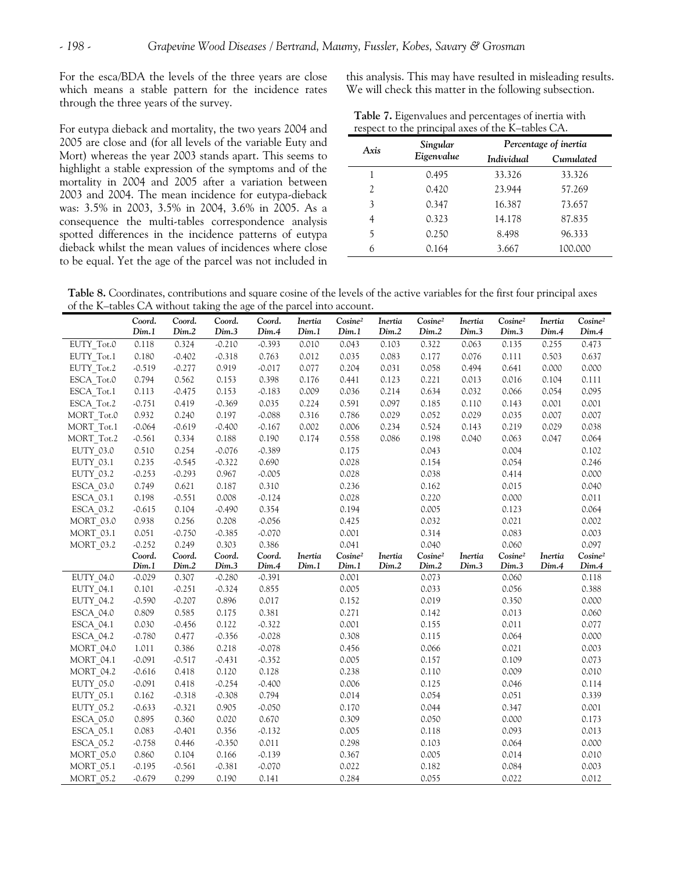For the esca/BDA the levels of the three years are close which means a stable pattern for the incidence rates through the three years of the survey.

For eutypa dieback and mortality, the two years 2004 and 2005 are close and (for all levels of the variable Euty and Mort) whereas the year 2003 stands apart. This seems to highlight a stable expression of the symptoms and of the mortality in 2004 and 2005 after a variation between 2003 and 2004. The mean incidence for eutypa-dieback was: 3.5% in 2003, 3.5% in 2004, 3.6% in 2005. As a consequence the multi-tables correspondence analysis spotted differences in the incidence patterns of eutypa dieback whilst the mean values of incidences where close to be equal. Yet the age of the parcel was not included in this analysis. This may have resulted in misleading results. We will check this matter in the following subsection.

| Table 7. Eigenvalues and percentages of inertia with |
|------------------------------------------------------|
| respect to the principal axes of the K-tables CA.    |

| Axis | Singular   | Percentage of inertia |           |  |  |
|------|------------|-----------------------|-----------|--|--|
|      | Eigenvalue | Individual            | Cumulated |  |  |
| 1    | 0.495      | 33.326                | 33.326    |  |  |
| 2    | 0.420      | 23.944                | 57.269    |  |  |
| 3    | 0.347      | 16.387                | 73.657    |  |  |
| 4    | 0.323      | 14.178                | 87.835    |  |  |
| 5    | 0.250      | 8.498                 | 96.333    |  |  |
| 6    | 0.164      | 3.667                 | 100.000   |  |  |

**Table 8.** Coordinates, contributions and square cosine of the levels of the active variables for the first four principal axes of the K–tables CA without taking the age of the parcel into account.

|                  | Coord.<br>Dim.1 | Coord.<br>Dim.2 | Coord.<br>Dim.3 | Coord.<br>Dim.4 | Inertia<br>Dim.1 | Cosine <sup>2</sup><br>Dim.1 | Inertia<br>Dim.2 | Cosine <sup>2</sup><br>Dim.2 | Inertia<br>Dim.3 | Cosine <sup>2</sup><br>Dim.3 | Inertia<br>Dim.4 | Cosine <sup>2</sup><br>Dim.4 |
|------------------|-----------------|-----------------|-----------------|-----------------|------------------|------------------------------|------------------|------------------------------|------------------|------------------------------|------------------|------------------------------|
| EUTY_Tot.0       | 0.118           | 0.324           | $-0.210$        | $-0.393$        | 0.010            | 0.043                        | 0.103            | 0.322                        | 0.063            | 0.135                        | 0.255            | 0.473                        |
| EUTY Tot.1       | 0.180           | $-0.402$        | $-0.318$        | 0.763           | 0.012            | 0.035                        | 0.083            | 0.177                        | 0.076            | 0.111                        | 0.503            | 0.637                        |
| EUTY Tot.2       | $-0.519$        | $-0.277$        | 0.919           | $-0.017$        | 0.077            | 0.204                        | 0.031            | 0.058                        | 0.494            | 0.641                        | 0.000            | 0.000                        |
| ESCA Tot.0       | 0.794           | 0.562           | 0.153           | 0.398           | 0.176            | 0.441                        | 0.123            | 0.221                        | 0.013            | 0.016                        | 0.104            | 0.111                        |
| ESCA Tot.1       | 0.113           | $-0.475$        | 0.153           | $-0.183$        | 0.009            | 0.036                        | 0.214            | 0.634                        | 0.032            | 0.066                        | 0.054            | 0.095                        |
| ESCA Tot.2       | $-0.751$        | 0.419           | $-0.369$        | 0.035           | 0.224            | 0.591                        | 0.097            | 0.185                        | 0.110            | 0.143                        | 0.001            | 0.001                        |
| MORT Tot.0       | 0.932           | 0.240           | 0.197           | $-0.088$        | 0.316            | 0.786                        | 0.029            | 0.052                        | 0.029            | 0.035                        | 0.007            | 0.007                        |
| MORT Tot.1       | $-0.064$        | $-0.619$        | $-0.400$        | $-0.167$        | 0.002            | 0.006                        | 0.234            | 0.524                        | 0.143            | 0.219                        | 0.029            | 0.038                        |
| MORT Tot.2       | $-0.561$        | 0.334           | 0.188           | 0.190           | 0.174            | 0.558                        | 0.086            | 0.198                        | 0.040            | 0.063                        | 0.047            | 0.064                        |
| EUTY 03.0        | 0.510           | 0.254           | $-0.076$        | $-0.389$        |                  | 0.175                        |                  | 0.043                        |                  | 0.004                        |                  | 0.102                        |
| EUTY 03.1        | 0.235           | $-0.545$        | $-0.322$        | 0.690           |                  | 0.028                        |                  | 0.154                        |                  | 0.054                        |                  | 0.246                        |
| EUTY 03.2        | $-0.253$        | $-0.293$        | 0.967           | $-0.005$        |                  | 0.028                        |                  | 0.038                        |                  | 0.414                        |                  | 0.000                        |
| ESCA 03.0        | 0.749           | 0.621           | 0.187           | 0.310           |                  | 0.236                        |                  | 0.162                        |                  | 0.015                        |                  | 0.040                        |
| ESCA 03.1        | 0.198           | $-0.551$        | 0.008           | $-0.124$        |                  | 0.028                        |                  | 0.220                        |                  | 0.000                        |                  | 0.011                        |
| ESCA 03.2        | $-0.615$        | 0.104           | $-0.490$        | 0.354           |                  | 0.194                        |                  | 0.005                        |                  | 0.123                        |                  | 0.064                        |
| MORT 03.0        | 0.938           | 0.256           | 0.208           | $-0.056$        |                  | 0.425                        |                  | 0.032                        |                  | 0.021                        |                  | 0.002                        |
| MORT_03.1        | 0.051           | $-0.750$        | $-0.385$        | $-0.070$        |                  | 0.001                        |                  | 0.314                        |                  | 0.083                        |                  | 0.003                        |
| MORT 03.2        | $-0.252$        | 0.249           | 0.303           | 0.386           |                  | 0.041                        |                  | 0.040                        |                  | 0.060                        |                  | 0.097                        |
|                  | Coord.          | Coord.          | Coord.          | Coord.          | Inertia          | Cosine <sup>2</sup>          | Inertia          | Cosine <sup>2</sup>          | Inertia          | Cosine <sup>2</sup>          | <b>Inertia</b>   | Cosine <sup>2</sup>          |
|                  | Dim.1           | Dim.2           | Dim.3           | Dim.4           | Dim.1            | Dim.1                        | Dim.2            | Dim.2                        | Dim.3            | Dim.3                        | Dim.4            | Dim.4                        |
| EUTY 04.0        | $-0.029$        | 0.307           | $-0.280$        | $-0.391$        |                  | 0.001                        |                  | 0.073                        |                  | 0.060                        |                  | 0.118                        |
| EUTY 04.1        | 0.101           | $-0.251$        | $-0.324$        | 0.855           |                  | 0.005                        |                  | 0.033                        |                  | 0.056                        |                  | 0.388                        |
| EUTY 04.2        | $-0.590$        | $-0.207$        | 0.896           | 0.017           |                  | 0.152                        |                  | 0.019                        |                  | 0.350                        |                  | 0.000                        |
| ESCA 04.0        | 0.809           | 0.585           | 0.175           | 0.381           |                  | 0.271                        |                  | 0.142                        |                  | 0.013                        |                  | 0.060                        |
| ESCA 04.1        | 0.030           | $-0.456$        | 0.122           | $-0.322$        |                  | 0.001                        |                  | 0.155                        |                  | 0.011                        |                  | 0.077                        |
| ESCA 04.2        | $-0.780$        | 0.477           | $-0.356$        | $-0.028$        |                  | 0.308                        |                  | 0.115                        |                  | 0.064                        |                  | 0.000                        |
| MORT 04.0        | 1.011           | 0.386           | 0.218           | $-0.078$        |                  | 0.456                        |                  | 0.066                        |                  | 0.021                        |                  | 0.003                        |
| MORT_04.1        | $-0.091$        | $-0.517$        | $-0.431$        | $-0.352$        |                  | 0.005                        |                  | 0.157                        |                  | 0.109                        |                  | 0.073                        |
| <b>MORT 04.2</b> | $-0.616$        | 0.418           | 0.120           | 0.128           |                  | 0.238                        |                  | 0.110                        |                  | 0.009                        |                  | 0.010                        |
| EUTY 05.0        | $-0.091$        | 0.418           | $-0.254$        | $-0.400$        |                  | 0.006                        |                  | 0.125                        |                  | 0.046                        |                  | 0.114                        |
| EUTY 05.1        | 0.162           | $-0.318$        | $-0.308$        | 0.794           |                  | 0.014                        |                  | 0.054                        |                  | 0.051                        |                  | 0.339                        |
| <b>EUTY 05.2</b> | $-0.633$        | $-0.321$        | 0.905           | $-0.050$        |                  | 0.170                        |                  | 0.044                        |                  | 0.347                        |                  | 0.001                        |
| ESCA 05.0        | 0.895           | 0.360           | 0.020           | 0.670           |                  | 0.309                        |                  | 0.050                        |                  | 0.000                        |                  | 0.173                        |
| ESCA_05.1        | 0.083           | $-0.401$        | 0.356           | $-0.132$        |                  | 0.005                        |                  | 0.118                        |                  | 0.093                        |                  | 0.013                        |
| ESCA 05.2        | $-0.758$        | 0.446           | $-0.350$        | 0.011           |                  | 0.298                        |                  | 0.103                        |                  | 0.064                        |                  | 0.000                        |
| <b>MORT 05.0</b> | 0.860           | 0.104           | 0.166           | $-0.139$        |                  | 0.367                        |                  | 0.005                        |                  | 0.014                        |                  | 0.010                        |
| <b>MORT 05.1</b> | $-0.195$        | $-0.561$        | $-0.381$        | $-0.070$        |                  | 0.022                        |                  | 0.182                        |                  | 0.084                        |                  | 0.003                        |
| <b>MORT 05.2</b> | $-0.679$        | 0.299           | 0.190           | 0.141           |                  | 0.284                        |                  | 0.055                        |                  | 0.022                        |                  | 0.012                        |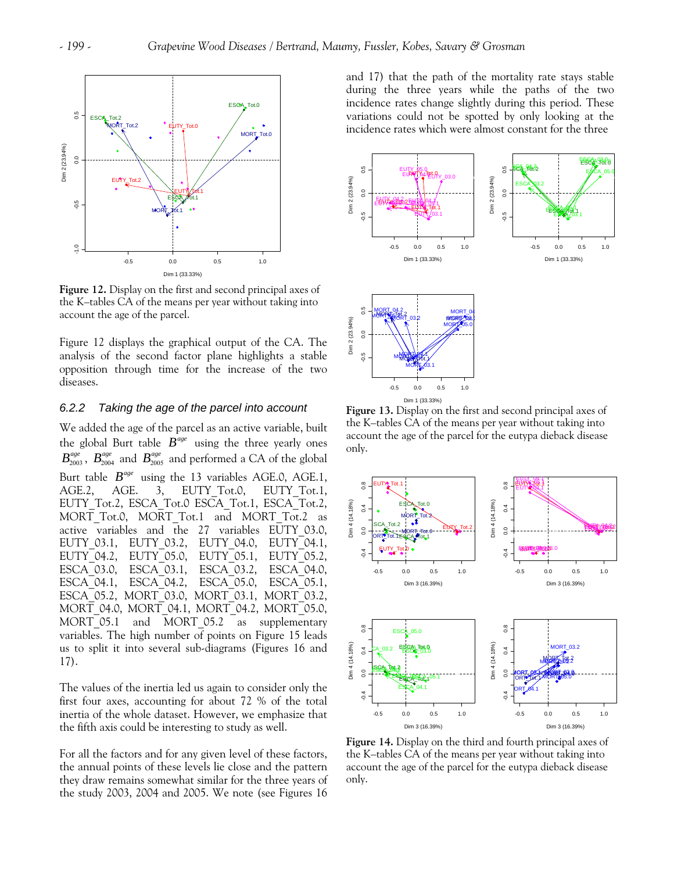

**Figure 12.** Display on the first and second principal axes of the K–tables CA of the means per year without taking into account the age of the parcel.

Figure 12 displays the graphical output of the CA. The analysis of the second factor plane highlights a stable opposition through time for the increase of the two diseases.

# *6.2.2 Taking the age of the parcel into account*

We added the age of the parcel as an active variable, built the global Burt table  $B^{age}$  using the three yearly ones  $B_{2003}^{age}$ ,  $B_{2004}^{age}$  and  $B_{2005}^{age}$  and performed a CA of the global Burt table  $B^{age}$  using the 13 variables AGE.0, AGE.1, AGE.2, AGE. 3, EUTY Tot.0, EUTY Tot.1, EUTY Tot.2, ESCA Tot.0 ESCA Tot.1, ESCA Tot.2, MORT Tot.0, MORT Tot.1 and MORT Tot.2 as active variables and the 27 variables EUTY\_03.0, EUTY\_03.1, EUTY\_03.2, EUTY\_04.0, EUTY\_04.1, EUTY\_04.2, EUTY\_05.0, EUTY\_05.1, EUTY\_05.2, ESCA\_03.0, ESCA\_03.1, ESCA\_03.2, ESCA\_04.0, ESCA\_04.1, ESCA\_04.2, ESCA\_05.0, ESCA\_05.1, ESCA\_05.2, MORT\_03.0, MORT\_03.1, MORT\_03.2, MORT\_04.0, MORT\_04.1, MORT\_04.2, MORT\_05.0, MORT 05.1 and MORT 05.2 as supplementary variables. The high number of points on Figure 15 leads us to split it into several sub-diagrams (Figures 16 and 17).

The values of the inertia led us again to consider only the first four axes, accounting for about 72 % of the total inertia of the whole dataset. However, we emphasize that the fifth axis could be interesting to study as well.

For all the factors and for any given level of these factors, the annual points of these levels lie close and the pattern they draw remains somewhat similar for the three years of the study 2003, 2004 and 2005. We note (see Figures 16 and 17) that the path of the mortality rate stays stable during the three years while the paths of the two incidence rates change slightly during this period. These variations could not be spotted by only looking at the incidence rates which were almost constant for the three



**Figure 13.** Display on the first and second principal axes of the K–tables CA of the means per year without taking into account the age of the parcel for the eutypa dieback disease only.



**Figure 14.** Display on the third and fourth principal axes of the K–tables CA of the means per year without taking into account the age of the parcel for the eutypa dieback disease only.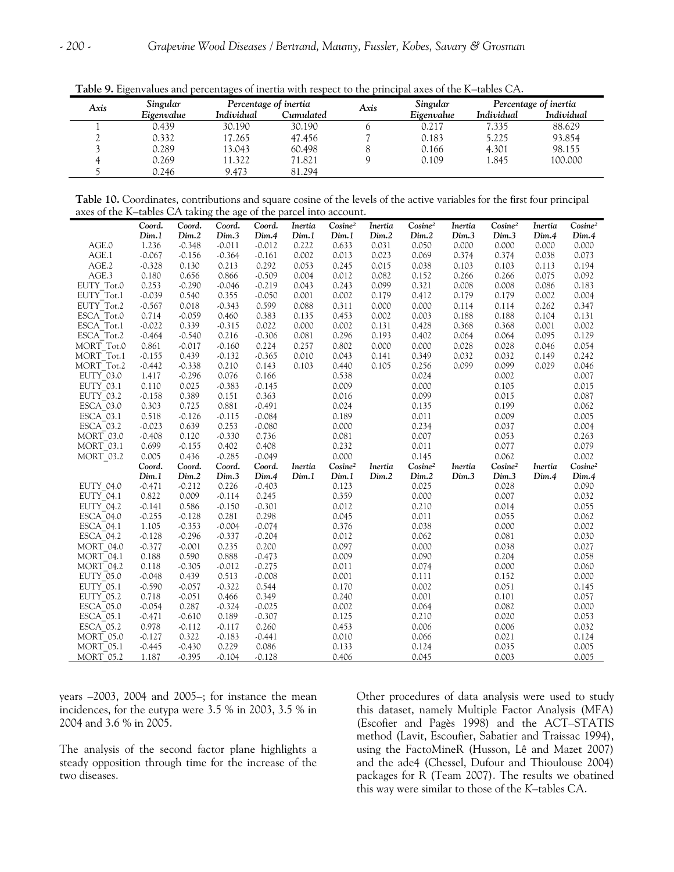| Singular<br>Axis |            |            | Percentage of inertia |      | Singular   | Percentage of inertia |            |
|------------------|------------|------------|-----------------------|------|------------|-----------------------|------------|
|                  | Eigenvalue | Individual | Cumulated             | Axis | Eigenvalue | <i>Individual</i>     | Individual |
|                  | 0.439      | 30.190     | 30.190                |      | 0.217      | 7.335                 | 88.629     |
|                  | 0.332      | 17.265     | 47.456                |      | 0.183      | 5.225                 | 93.854     |
|                  | 0.289      | 13.043     | 60.498                |      | 0.166      | 4.301                 | 98.155     |
|                  | 0.269      | 11.322     | 71.821                |      | 0.109      | 1.845                 | 100.000    |
|                  | 0.246      | 9.473      | 81.294                |      |            |                       |            |

**Table 9.** Eigenvalues and percentages of inertia with respect to the principal axes of the K–tables CA.

**Table 10.** Coordinates, contributions and square cosine of the levels of the active variables for the first four principal axes of the K–tables CA taking the age of the parcel into account.

|                        | Coord.   | Coord.   | Coord.   | Coord.   | Inertia | Cosine <sup>2</sup> | Inertia | Cosine <sup>2</sup> | Inertia | Cosine <sup>2</sup> | Inertia | Cosine <sup>2</sup> |
|------------------------|----------|----------|----------|----------|---------|---------------------|---------|---------------------|---------|---------------------|---------|---------------------|
|                        | Dim.1    | Dim.2    | Dim.3    | Dim.4    | Dim.1   | Dim.1               | Dim.2   | Dim.2               | Dim.3   | Dim.3               | Dim.4   | Dim.4               |
| AGE.0                  | 1.236    | $-0.348$ | $-0.011$ | $-0.012$ | 0.222   | 0.633               | 0.031   | 0.050               | 0.000   | 0.000               | 0.000   | 0.000               |
| AGE.1                  | $-0.067$ | $-0.156$ | $-0.364$ | $-0.161$ | 0.002   | 0.013               | 0.023   | 0.069               | 0.374   | 0.374               | 0.038   | 0.073               |
| AGE.2                  | $-0.328$ | 0.130    | 0.213    | 0.292    | 0.053   | 0.245               | 0.015   | 0.038               | 0.103   | 0.103               | 0.113   | 0.194               |
| AGE.3                  | 0.180    | 0.656    | 0.866    | $-0.509$ | 0.004   | 0.012               | 0.082   | 0.152               | 0.266   | 0.266               | 0.075   | 0.092               |
| EUTY Tot.0             | 0.253    | $-0.290$ | $-0.046$ | $-0.219$ | 0.043   | 0.243               | 0.099   | 0.321               | 0.008   | 0.008               | 0.086   | 0.183               |
| EUTY Tot.1             | $-0.039$ | 0.540    | 0.355    | $-0.050$ | 0.001   | 0.002               | 0.179   | 0.412               | 0.179   | 0.179               | 0.002   | 0.004               |
| EUTY Tot.2             | $-0.567$ | 0.018    | $-0.343$ | 0.599    | 0.088   | 0.311               | 0.000   | 0.000               | 0.114   | 0.114               | 0.262   | 0.347               |
| ESCA Tot.0             | 0.714    | $-0.059$ | 0.460    | 0.383    | 0.135   | 0.453               | 0.002   | 0.003               | 0.188   | 0.188               | 0.104   | 0.131               |
| ESCA <sup>T</sup> ot.1 | $-0.022$ | 0.339    | $-0.315$ | 0.022    | 0.000   | 0.002               | 0.131   | 0.428               | 0.368   | 0.368               | 0.001   | 0.002               |
| ESCA Tot.2             | $-0.464$ | $-0.540$ | 0.216    | $-0.306$ | 0.081   | 0.296               | 0.193   | 0.402               | 0.064   | 0.064               | 0.095   | 0.129               |
| MORT Tot.0             | 0.861    | $-0.017$ | $-0.160$ | 0.224    | 0.257   | 0.802               | 0.000   | 0.000               | 0.028   | 0.028               | 0.046   | 0.054               |
| MORT Tot.1             | $-0.155$ | 0.439    | $-0.132$ | $-0.365$ | 0.010   | 0.043               | 0.141   | 0.349               | 0.032   | 0.032               | 0.149   | 0.242               |
| MORT Tot.2             | $-0.442$ | $-0.338$ | 0.210    | 0.143    | 0.103   | 0.440               | 0.105   | 0.256               | 0.099   | 0.099               | 0.029   | 0.046               |
| EUTY 03.0              | 1.417    | $-0.296$ | 0.076    | 0.166    |         | 0.538               |         | 0.024               |         | 0.002               |         | 0.007               |
| EUTY 03.1              | 0.110    | 0.025    | $-0.383$ | $-0.145$ |         | 0.009               |         | 0.000               |         | 0.105               |         | 0.015               |
| EUTY 03.2              | $-0.158$ | 0.389    | 0.151    | 0.363    |         | 0.016               |         | 0.099               |         | 0.015               |         | 0.087               |
| ESCA 03.0              | 0.303    | 0.725    | 0.881    | $-0.491$ |         | 0.024               |         | 0.135               |         | 0.199               |         | 0.062               |
| ESCA <sup>03.1</sup>   | 0.518    | $-0.126$ | $-0.115$ | $-0.084$ |         | 0.189               |         | 0.011               |         | 0.009               |         | 0.005               |
| ESCA 03.2              | $-0.023$ | 0.639    | 0.253    | $-0.080$ |         | 0.000               |         | 0.234               |         | 0.037               |         | 0.004               |
| <b>MORT 03.0</b>       | $-0.408$ | 0.120    | $-0.330$ | 0.736    |         | 0.081               |         | 0.007               |         | 0.053               |         | 0.263               |
| MORT 03.1              | 0.699    | $-0.155$ | 0.402    | 0.408    |         | 0.232               |         | 0.011               |         | 0.077               |         | 0.079               |
| $MORT_03.2$            | 0.005    | 0.436    | $-0.285$ | $-0.049$ |         | 0.000               |         | 0.145               |         | 0.062               |         | 0.002               |
|                        | Coord.   | Coord.   | Coord.   | Coord.   | Inertia | Cosine <sup>2</sup> | Inertia | Cosine <sup>2</sup> | Inertia | Cosine <sup>2</sup> | Inertia | Cosine <sup>2</sup> |
|                        | Dim.1    | Dim.2    | Dim.3    | Dim.4    | Dim.1   | Dim.1               | Dim.2   | Dim.2               | Dim.3   | Dim.3               | Dim.4   | Dim.4               |
| EUTY_04.0              | $-0.471$ | $-0.212$ | 0.226    | $-0.403$ |         | 0.123               |         | 0.025               |         | 0.028               |         | 0.090               |
| EUTY <sup>-04.1</sup>  | 0.822    | 0.009    | $-0.114$ | 0.245    |         | 0.359               |         | 0.000               |         | 0.007               |         | 0.032               |
| <b>EUTY 04.2</b>       | $-0.141$ | 0.586    | $-0.150$ | $-0.301$ |         | 0.012               |         | 0.210               |         | 0.014               |         | 0.055               |
| ESCA_04.0              | $-0.255$ | $-0.128$ | 0.281    | 0.298    |         | 0.045               |         | 0.011               |         | 0.055               |         | 0.062               |
| ESCA <sup>04.1</sup>   | 1.105    | $-0.353$ | $-0.004$ | $-0.074$ |         | 0.376               |         | 0.038               |         | 0.000               |         | 0.002               |
| ESCA 04.2              | $-0.128$ | $-0.296$ | $-0.337$ | $-0.204$ |         | 0.012               |         | 0.062               |         | 0.081               |         | 0.030               |
| <b>MORT 04.0</b>       | $-0.377$ | $-0.001$ | 0.235    | 0.200    |         | 0.097               |         | 0.000               |         | 0.038               |         | 0.027               |
| <b>MORT 04.1</b>       | 0.188    | 0.590    | 0.888    | $-0.473$ |         | 0.009               |         | 0.090               |         | 0.204               |         | 0.058               |
| <b>MORT 04.2</b>       | 0.118    | $-0.305$ | $-0.012$ | $-0.275$ |         | 0.011               |         | 0.074               |         | 0.000               |         | 0.060               |
| <b>EUTY 05.0</b>       | $-0.048$ | 0.439    | 0.513    | $-0.008$ |         | 0.001               |         | 0.111               |         | 0.152               |         | 0.000               |
| EUTY 05.1              | $-0.590$ | $-0.057$ | $-0.322$ | 0.544    |         | 0.170               |         | 0.002               |         | 0.051               |         | 0.145               |
| <b>EUTY 05.2</b>       | 0.718    | $-0.051$ | 0.466    | 0.349    |         | 0.240               |         | 0.001               |         | 0.101               |         | 0.057               |
| <b>ESCA 05.0</b>       | $-0.054$ | 0.287    | $-0.324$ | $-0.025$ |         | 0.002               |         | 0.064               |         | 0.082               |         | 0.000               |
| ESCA 05.1              | $-0.471$ | $-0.610$ | 0.189    | $-0.307$ |         | 0.125               |         | 0.210               |         | 0.020               |         | 0.053               |
| ESCA 05.2              | 0.978    | $-0.112$ | $-0.117$ | 0.260    |         | 0.453               |         | 0.006               |         | 0.006               |         | 0.032               |
| <b>MORT 05.0</b>       | $-0.127$ | 0.322    | $-0.183$ | $-0.441$ |         | 0.010               |         | 0.066               |         | 0.021               |         | 0.124               |
| <b>MORT 05.1</b>       | $-0.445$ | $-0.430$ | 0.229    | 0.086    |         | 0.133               |         | 0.124               |         | 0.035               |         | 0.005               |
| <b>MORT 05.2</b>       | 1.187    | $-0.395$ | $-0.104$ | $-0.128$ |         | 0.406               |         | 0.045               |         | 0.003               |         | 0.005               |

years –2003, 2004 and 2005–; for instance the mean incidences, for the eutypa were 3.5 % in 2003, 3.5 % in 2004 and 3.6 % in 2005.

The analysis of the second factor plane highlights a steady opposition through time for the increase of the two diseases.

Other procedures of data analysis were used to study this dataset, namely Multiple Factor Analysis (MFA) (Escofier and Pagès 1998) and the ACT*–*STATIS method (Lavit, Escoufier, Sabatier and Traissac 1994), using the FactoMineR (Husson, Lê and Mazet 2007) and the ade4 (Chessel, Dufour and Thioulouse 2004) packages for R (Team 2007). The results we obatined this way were similar to those of the *K–*tables CA.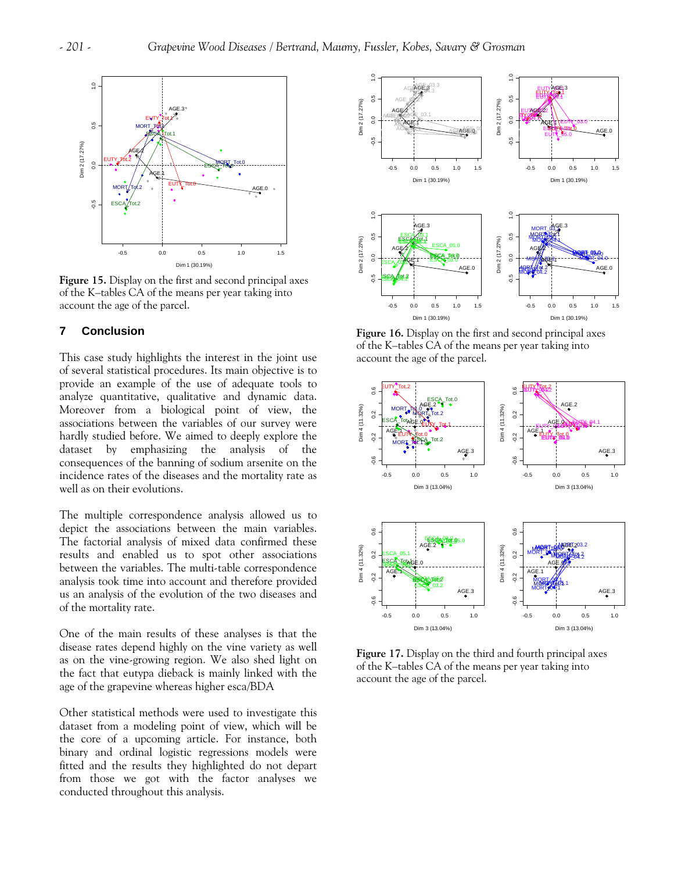

**Figure 15.** Display on the first and second principal axes of the K–tables CA of the means per year taking into account the age of the parcel.

### **7 Conclusion**

This case study highlights the interest in the joint use of several statistical procedures. Its main objective is to provide an example of the use of adequate tools to analyze quantitative, qualitative and dynamic data. Moreover from a biological point of view, the associations between the variables of our survey were hardly studied before. We aimed to deeply explore the dataset by emphasizing the analysis of the consequences of the banning of sodium arsenite on the incidence rates of the diseases and the mortality rate as well as on their evolutions.

The multiple correspondence analysis allowed us to depict the associations between the main variables. The factorial analysis of mixed data confirmed these results and enabled us to spot other associations between the variables. The multi*-*table correspondence analysis took time into account and therefore provided us an analysis of the evolution of the two diseases and of the mortality rate.

One of the main results of these analyses is that the disease rates depend highly on the vine variety as well as on the vine-growing region. We also shed light on the fact that eutypa dieback is mainly linked with the age of the grapevine whereas higher esca/BDA

Other statistical methods were used to investigate this dataset from a modeling point of view, which will be the core of a upcoming article. For instance, both binary and ordinal logistic regressions models were fitted and the results they highlighted do not depart from those we got with the factor analyses we conducted throughout this analysis.



**Figure 16.** Display on the first and second principal axes of the K–tables CA of the means per year taking into account the age of the parcel.



**Figure 17.** Display on the third and fourth principal axes of the K–tables CA of the means per year taking into account the age of the parcel.